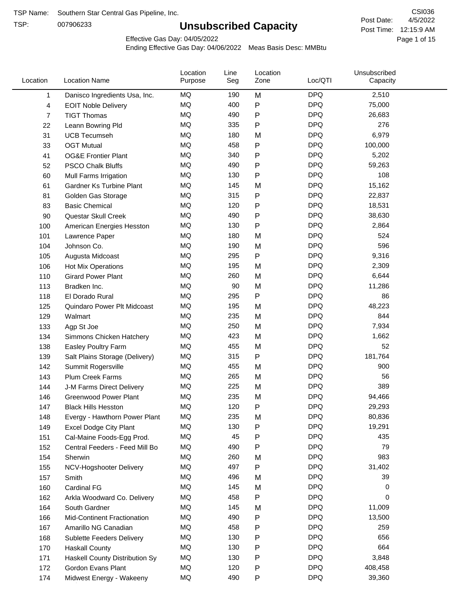TSP:

# **Unsubscribed Capacity**

4/5/2022 Page 1 of 15 Post Time: 12:15:9 AM CSI036 Post Date:

Effective Gas Day: 04/05/2022

| Location | <b>Location Name</b>             | Location<br>Purpose | Line<br>Seg | Location<br>Zone | Loc/QTI    | Unsubscribed<br>Capacity |  |
|----------|----------------------------------|---------------------|-------------|------------------|------------|--------------------------|--|
| 1        | Danisco Ingredients Usa, Inc.    | MQ                  | 190         | M                | <b>DPQ</b> | 2,510                    |  |
| 4        | <b>EOIT Noble Delivery</b>       | MQ                  | 400         | P                | <b>DPQ</b> | 75,000                   |  |
| 7        | <b>TIGT Thomas</b>               | MQ                  | 490         | P                | <b>DPQ</b> | 26,683                   |  |
| 22       | Leann Bowring Pld                | MQ                  | 335         | P                | <b>DPQ</b> | 276                      |  |
| 31       | <b>UCB Tecumseh</b>              | MQ                  | 180         | M                | <b>DPQ</b> | 6,979                    |  |
| 33       | <b>OGT Mutual</b>                | MQ                  | 458         | P                | <b>DPQ</b> | 100,000                  |  |
| 41       | <b>OG&amp;E Frontier Plant</b>   | MQ                  | 340         | P                | <b>DPQ</b> | 5,202                    |  |
| 52       | <b>PSCO Chalk Bluffs</b>         | MQ                  | 490         | P                | <b>DPQ</b> | 59,263                   |  |
| 60       | Mull Farms Irrigation            | MQ                  | 130         | P                | <b>DPQ</b> | 108                      |  |
| 61       | Gardner Ks Turbine Plant         | MQ                  | 145         | M                | <b>DPQ</b> | 15,162                   |  |
| 81       | Golden Gas Storage               | MQ                  | 315         | P                | <b>DPQ</b> | 22,837                   |  |
| 83       | <b>Basic Chemical</b>            | MQ                  | 120         | Ρ                | <b>DPQ</b> | 18,531                   |  |
| 90       | Questar Skull Creek              | <b>MQ</b>           | 490         | P                | <b>DPQ</b> | 38,630                   |  |
| 100      | American Energies Hesston        | MQ                  | 130         | Ρ                | <b>DPQ</b> | 2,864                    |  |
| 101      | Lawrence Paper                   | MQ                  | 180         | M                | <b>DPQ</b> | 524                      |  |
| 104      | Johnson Co.                      | MQ                  | 190         | M                | <b>DPQ</b> | 596                      |  |
| 105      | Augusta Midcoast                 | MQ                  | 295         | P                | <b>DPQ</b> | 9,316                    |  |
| 106      | Hot Mix Operations               | MQ                  | 195         | M                | <b>DPQ</b> | 2,309                    |  |
| 110      | <b>Girard Power Plant</b>        | MQ                  | 260         | M                | <b>DPQ</b> | 6,644                    |  |
| 113      | Bradken Inc.                     | MQ                  | 90          | M                | <b>DPQ</b> | 11,286                   |  |
| 118      | El Dorado Rural                  | MQ                  | 295         | P                | <b>DPQ</b> | 86                       |  |
| 125      | Quindaro Power Plt Midcoast      | <b>MQ</b>           | 195         | M                | <b>DPQ</b> | 48,223                   |  |
| 129      | Walmart                          | <b>MQ</b>           | 235         | M                | <b>DPQ</b> | 844                      |  |
| 133      | Agp St Joe                       | MQ                  | 250         | M                | <b>DPQ</b> | 7,934                    |  |
| 134      | Simmons Chicken Hatchery         | MQ                  | 423         | M                | <b>DPQ</b> | 1,662                    |  |
| 138      | Easley Poultry Farm              | MQ                  | 455         | M                | <b>DPQ</b> | 52                       |  |
| 139      | Salt Plains Storage (Delivery)   | MQ                  | 315         | P                | <b>DPQ</b> | 181,764                  |  |
| 142      | Summit Rogersville               | MQ                  | 455         | M                | <b>DPQ</b> | 900                      |  |
| 143      | Plum Creek Farms                 | MQ                  | 265         | M                | <b>DPQ</b> | 56                       |  |
| 144      | J-M Farms Direct Delivery        | MQ                  | 225         | M                | <b>DPQ</b> | 389                      |  |
| 146      | <b>Greenwood Power Plant</b>     | MQ                  | 235         | M                | <b>DPQ</b> | 94,466                   |  |
| 147      | <b>Black Hills Hesston</b>       | MQ                  | 120         | Ρ                | <b>DPQ</b> | 29,293                   |  |
| 148      | Evergy - Hawthorn Power Plant    | MQ                  | 235         | M                | <b>DPQ</b> | 80,836                   |  |
| 149      | <b>Excel Dodge City Plant</b>    | MQ                  | 130         | P                | <b>DPQ</b> | 19,291                   |  |
| 151      | Cal-Maine Foods-Egg Prod.        | MQ                  | 45          | Ρ                | <b>DPQ</b> | 435                      |  |
| 152      | Central Feeders - Feed Mill Bo   | MQ                  | 490         | P                | <b>DPQ</b> | 79                       |  |
| 154      | Sherwin                          | MQ                  | 260         | M                | <b>DPQ</b> | 983                      |  |
| 155      | NCV-Hogshooter Delivery          | MQ                  | 497         | P                | <b>DPQ</b> | 31,402                   |  |
| 157      | Smith                            | MQ                  | 496         | M                | <b>DPQ</b> | 39                       |  |
| 160      | Cardinal FG                      | MQ                  | 145         | M                | <b>DPQ</b> | 0                        |  |
| 162      | Arkla Woodward Co. Delivery      | MQ                  | 458         | P                | <b>DPQ</b> | 0                        |  |
| 164      | South Gardner                    | MQ                  | 145         | M                | <b>DPQ</b> | 11,009                   |  |
| 166      | Mid-Continent Fractionation      | MQ                  | 490         | P                | <b>DPQ</b> | 13,500                   |  |
| 167      | Amarillo NG Canadian             | MQ                  | 458         | Ρ                | <b>DPQ</b> | 259                      |  |
| 168      | <b>Sublette Feeders Delivery</b> | MQ                  | 130         | Ρ                | <b>DPQ</b> | 656                      |  |
| 170      | <b>Haskall County</b>            | MQ                  | 130         | P                | <b>DPQ</b> | 664                      |  |
| 171      | Haskell County Distribution Sy   | MQ                  | 130         | Ρ                | <b>DPQ</b> | 3,848                    |  |
| 172      | Gordon Evans Plant               | MQ                  | 120         | Ρ                | <b>DPQ</b> | 408,458                  |  |
| 174      | Midwest Energy - Wakeeny         | MQ                  | 490         | P                | <b>DPQ</b> | 39,360                   |  |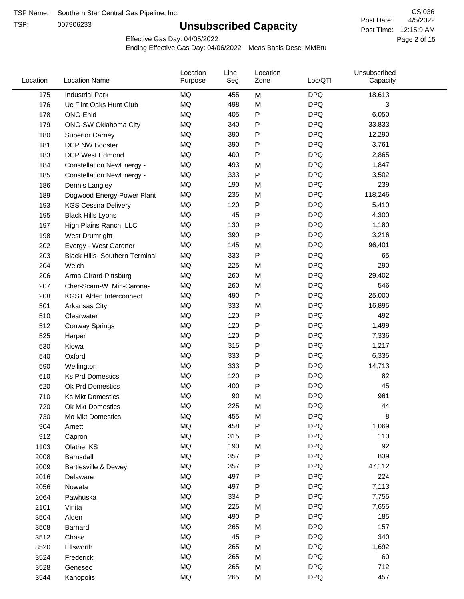TSP:

# **Unsubscribed Capacity**

4/5/2022 Page 2 of 15 Post Time: 12:15:9 AM CSI036 Post Date:

Effective Gas Day: 04/05/2022

| Location | <b>Location Name</b>                  | Location<br>Purpose | Line<br>Seg | Location<br>Zone | Loc/QTI    | Unsubscribed<br>Capacity |  |
|----------|---------------------------------------|---------------------|-------------|------------------|------------|--------------------------|--|
| 175      | <b>Industrial Park</b>                | MQ                  | 455         | M                | <b>DPQ</b> | 18,613                   |  |
| 176      | Uc Flint Oaks Hunt Club               | MQ                  | 498         | M                | <b>DPQ</b> | 3                        |  |
| 178      | <b>ONG-Enid</b>                       | MQ                  | 405         | P                | <b>DPQ</b> | 6,050                    |  |
| 179      | <b>ONG-SW Oklahoma City</b>           | <b>MQ</b>           | 340         | P                | <b>DPQ</b> | 33,833                   |  |
| 180      | <b>Superior Carney</b>                | <b>MQ</b>           | 390         | Ρ                | <b>DPQ</b> | 12,290                   |  |
| 181      | DCP NW Booster                        | <b>MQ</b>           | 390         | P                | <b>DPQ</b> | 3,761                    |  |
| 183      | <b>DCP West Edmond</b>                | <b>MQ</b>           | 400         | Ρ                | <b>DPQ</b> | 2,865                    |  |
| 184      | <b>Constellation NewEnergy -</b>      | <b>MQ</b>           | 493         | M                | <b>DPQ</b> | 1,847                    |  |
| 185      | <b>Constellation NewEnergy -</b>      | MQ                  | 333         | $\mathsf{P}$     | <b>DPQ</b> | 3,502                    |  |
| 186      | Dennis Langley                        | MQ                  | 190         | M                | <b>DPQ</b> | 239                      |  |
| 189      | Dogwood Energy Power Plant            | <b>MQ</b>           | 235         | M                | <b>DPQ</b> | 118,246                  |  |
| 193      | <b>KGS Cessna Delivery</b>            | MQ                  | 120         | P                | <b>DPQ</b> | 5,410                    |  |
| 195      | <b>Black Hills Lyons</b>              | <b>MQ</b>           | 45          | P                | <b>DPQ</b> | 4,300                    |  |
| 197      | High Plains Ranch, LLC                | <b>MQ</b>           | 130         | Ρ                | <b>DPQ</b> | 1,180                    |  |
| 198      | West Drumright                        | <b>MQ</b>           | 390         | P                | <b>DPQ</b> | 3,216                    |  |
| 202      | Evergy - West Gardner                 | <b>MQ</b>           | 145         | M                | <b>DPQ</b> | 96,401                   |  |
| 203      | <b>Black Hills- Southern Terminal</b> | MQ                  | 333         | P                | <b>DPQ</b> | 65                       |  |
| 204      | Welch                                 | MQ                  | 225         | M                | <b>DPQ</b> | 290                      |  |
| 206      | Arma-Girard-Pittsburg                 | <b>MQ</b>           | 260         | M                | <b>DPQ</b> | 29,402                   |  |
| 207      | Cher-Scam-W. Min-Carona-              | MQ                  | 260         | M                | <b>DPQ</b> | 546                      |  |
| 208      | <b>KGST Alden Interconnect</b>        | <b>MQ</b>           | 490         | P                | <b>DPQ</b> | 25,000                   |  |
| 501      | Arkansas City                         | <b>MQ</b>           | 333         | M                | <b>DPQ</b> | 16,895                   |  |
| 510      | Clearwater                            | <b>MQ</b>           | 120         | Ρ                | <b>DPQ</b> | 492                      |  |
| 512      | <b>Conway Springs</b>                 | <b>MQ</b>           | 120         | P                | <b>DPQ</b> | 1,499                    |  |
| 525      | Harper                                | <b>MQ</b>           | 120         | Ρ                | <b>DPQ</b> | 7,336                    |  |
| 530      | Kiowa                                 | <b>MQ</b>           | 315         | Ρ                | <b>DPQ</b> | 1,217                    |  |
| 540      | Oxford                                | <b>MQ</b>           | 333         | Ρ                | <b>DPQ</b> | 6,335                    |  |
| 590      | Wellington                            | MQ                  | 333         | Ρ                | <b>DPQ</b> | 14,713                   |  |
| 610      | <b>Ks Prd Domestics</b>               | <b>MQ</b>           | 120         | P                | <b>DPQ</b> | 82                       |  |
| 620      | Ok Prd Domestics                      | MQ                  | 400         | P                | <b>DPQ</b> | 45                       |  |
| 710      | <b>Ks Mkt Domestics</b>               | MQ                  | 90          | M                | <b>DPQ</b> | 961                      |  |
| 720      | Ok Mkt Domestics                      | MQ                  | 225         | M                | <b>DPQ</b> | 44                       |  |
| 730      | Mo Mkt Domestics                      | MQ                  | 455         | M                | <b>DPQ</b> | 8                        |  |
| 904      | Arnett                                | $\sf{MQ}$           | 458         | P                | <b>DPQ</b> | 1,069                    |  |
| 912      | Capron                                | $\sf{MQ}$           | 315         | Ρ                | <b>DPQ</b> | 110                      |  |
| 1103     | Olathe, KS                            | $\sf{MQ}$           | 190         | M                | <b>DPQ</b> | 92                       |  |
| 2008     | Barnsdall                             | MQ                  | 357         | P                | <b>DPQ</b> | 839                      |  |
| 2009     | Bartlesville & Dewey                  | MQ                  | 357         | P                | <b>DPQ</b> | 47,112                   |  |
| 2016     | Delaware                              | MQ                  | 497         | Ρ                | <b>DPQ</b> | 224                      |  |
| 2056     | Nowata                                | $\sf{MQ}$           | 497         | Ρ                | <b>DPQ</b> | 7,113                    |  |
| 2064     | Pawhuska                              | $\sf{MQ}$           | 334         | Ρ                | <b>DPQ</b> | 7,755                    |  |
| 2101     | Vinita                                | MQ                  | 225         | M                | <b>DPQ</b> | 7,655                    |  |
| 3504     | Alden                                 | MQ                  | 490         | P                | <b>DPQ</b> | 185                      |  |
| 3508     | Barnard                               | $\sf{MQ}$           | 265         | M                | <b>DPQ</b> | 157                      |  |
| 3512     | Chase                                 | MQ                  | 45          | Ρ                | <b>DPQ</b> | 340                      |  |
| 3520     | Ellsworth                             | MQ                  | 265         | M                | <b>DPQ</b> | 1,692                    |  |
| 3524     | Frederick                             | MQ                  | 265         | M                | <b>DPQ</b> | 60                       |  |
| 3528     | Geneseo                               | $\sf{MQ}$           | 265         | M                | <b>DPQ</b> | 712                      |  |
| 3544     | Kanopolis                             | $\sf{MQ}$           | 265         | M                | <b>DPQ</b> | 457                      |  |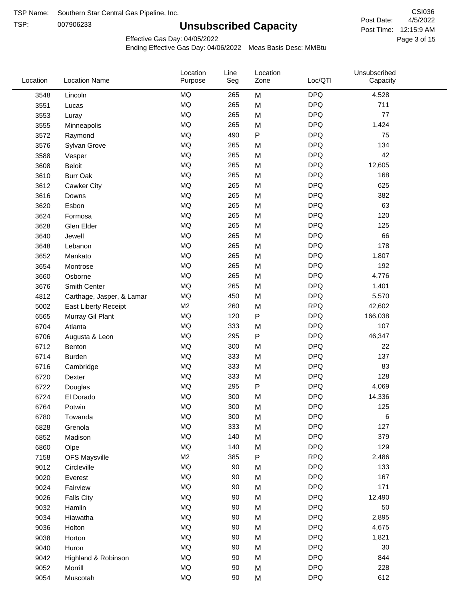TSP:

# **Unsubscribed Capacity**

4/5/2022 Page 3 of 15 Post Time: 12:15:9 AM CSI036 Post Date:

Effective Gas Day: 04/05/2022

| Location | <b>Location Name</b>      | Location<br>Purpose | Line<br>Seg | Location<br>Zone | Loc/QTI    | Unsubscribed<br>Capacity |  |
|----------|---------------------------|---------------------|-------------|------------------|------------|--------------------------|--|
| 3548     | Lincoln                   | MQ                  | 265         | M                | <b>DPQ</b> | 4,528                    |  |
| 3551     | Lucas                     | <b>MQ</b>           | 265         | M                | <b>DPQ</b> | 711                      |  |
| 3553     | Luray                     | MQ                  | 265         | M                | <b>DPQ</b> | 77                       |  |
| 3555     | Minneapolis               | MQ                  | 265         | M                | <b>DPQ</b> | 1,424                    |  |
| 3572     | Raymond                   | <b>MQ</b>           | 490         | P                | <b>DPQ</b> | 75                       |  |
| 3576     | Sylvan Grove              | MQ                  | 265         | M                | <b>DPQ</b> | 134                      |  |
| 3588     | Vesper                    | <b>MQ</b>           | 265         | M                | <b>DPQ</b> | 42                       |  |
| 3608     | <b>Beloit</b>             | MQ                  | 265         | M                | <b>DPQ</b> | 12,605                   |  |
| 3610     | <b>Burr Oak</b>           | <b>MQ</b>           | 265         | M                | <b>DPQ</b> | 168                      |  |
| 3612     | Cawker City               | MQ                  | 265         | M                | <b>DPQ</b> | 625                      |  |
| 3616     | Downs                     | MQ                  | 265         | M                | <b>DPQ</b> | 382                      |  |
| 3620     | Esbon                     | <b>MQ</b>           | 265         | M                | <b>DPQ</b> | 63                       |  |
| 3624     | Formosa                   | MQ                  | 265         | M                | <b>DPQ</b> | 120                      |  |
| 3628     | Glen Elder                | <b>MQ</b>           | 265         | M                | <b>DPQ</b> | 125                      |  |
| 3640     | Jewell                    | <b>MQ</b>           | 265         | M                | <b>DPQ</b> | 66                       |  |
| 3648     | Lebanon                   | <b>MQ</b>           | 265         | M                | <b>DPQ</b> | 178                      |  |
| 3652     | Mankato                   | MQ                  | 265         | M                | <b>DPQ</b> | 1,807                    |  |
| 3654     | Montrose                  | MQ                  | 265         | M                | <b>DPQ</b> | 192                      |  |
| 3660     | Osborne                   | MQ                  | 265         | M                | <b>DPQ</b> | 4,776                    |  |
| 3676     | Smith Center              | MQ                  | 265         | M                | <b>DPQ</b> | 1,401                    |  |
| 4812     | Carthage, Jasper, & Lamar | <b>MQ</b>           | 450         | M                | <b>DPQ</b> | 5,570                    |  |
| 5002     | East Liberty Receipt      | M <sub>2</sub>      | 260         | M                | <b>RPQ</b> | 42,602                   |  |
| 6565     | Murray Gil Plant          | MQ                  | 120         | P                | <b>DPQ</b> | 166,038                  |  |
| 6704     | Atlanta                   | <b>MQ</b>           | 333         | M                | <b>DPQ</b> | 107                      |  |
| 6706     | Augusta & Leon            | <b>MQ</b>           | 295         | P                | <b>DPQ</b> | 46,347                   |  |
| 6712     | Benton                    | MQ                  | 300         | M                | <b>DPQ</b> | 22                       |  |
| 6714     | <b>Burden</b>             | MQ                  | 333         | M                | <b>DPQ</b> | 137                      |  |
| 6716     | Cambridge                 | MQ                  | 333         | M                | <b>DPQ</b> | 83                       |  |
| 6720     | Dexter                    | MQ                  | 333         | M                | <b>DPQ</b> | 128                      |  |
| 6722     | Douglas                   | <b>MQ</b>           | 295         | P                | <b>DPQ</b> | 4,069                    |  |
| 6724     | El Dorado                 | <b>MQ</b>           | 300         | M                | <b>DPQ</b> | 14,336                   |  |
| 6764     | Potwin                    | <b>MQ</b>           | 300         | M                | <b>DPQ</b> | 125                      |  |
| 6780     | Towanda                   | MQ                  | 300         | M                | <b>DPQ</b> | 6                        |  |
| 6828     | Grenola                   | MQ                  | 333         | M                | <b>DPQ</b> | 127                      |  |
| 6852     | Madison                   | MQ                  | 140         | M                | <b>DPQ</b> | 379                      |  |
| 6860     | Olpe                      | MQ                  | 140         | M                | <b>DPQ</b> | 129                      |  |
| 7158     | <b>OFS Maysville</b>      | M2                  | 385         | P                | <b>RPQ</b> | 2,486                    |  |
| 9012     | Circleville               | MQ                  | 90          | M                | <b>DPQ</b> | 133                      |  |
| 9020     | Everest                   | MQ                  | 90          | M                | <b>DPQ</b> | 167                      |  |
| 9024     | Fairview                  | MQ                  | 90          | M                | <b>DPQ</b> | 171                      |  |
| 9026     | <b>Falls City</b>         | MQ                  | 90          | M                | <b>DPQ</b> | 12,490                   |  |
| 9032     | Hamlin                    | MQ                  | 90          | M                | <b>DPQ</b> | 50                       |  |
| 9034     | Hiawatha                  | MQ                  | 90          | M                | <b>DPQ</b> | 2,895                    |  |
| 9036     | Holton                    | MQ                  | 90          | M                | <b>DPQ</b> | 4,675                    |  |
| 9038     | Horton                    | MQ                  | 90          | M                | <b>DPQ</b> | 1,821                    |  |
| 9040     | Huron                     | MQ                  | 90          | M                | <b>DPQ</b> | 30                       |  |
| 9042     | Highland & Robinson       | MQ                  | 90          | M                | <b>DPQ</b> | 844                      |  |
| 9052     | Morrill                   | MQ                  | 90          | M                | <b>DPQ</b> | 228                      |  |
| 9054     | Muscotah                  | MQ                  | 90          | M                | <b>DPQ</b> | 612                      |  |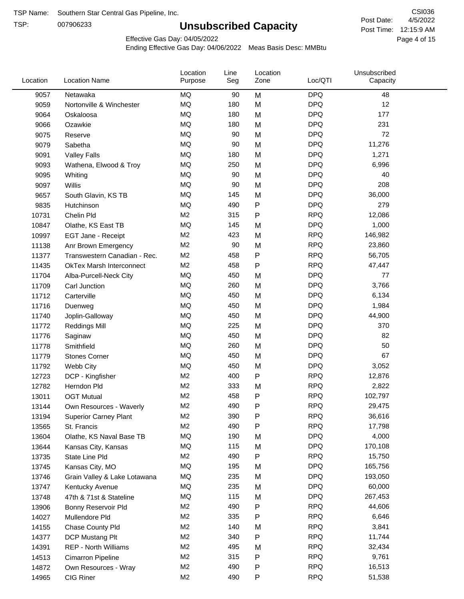TSP:

# **Unsubscribed Capacity**

4/5/2022 Page 4 of 15 Post Time: 12:15:9 AM CSI036 Post Date:

Effective Gas Day: 04/05/2022

| Purpose<br>Seg                                                                                 | Capacity |
|------------------------------------------------------------------------------------------------|----------|
| <b>DPQ</b><br>9057<br>Netawaka<br>MQ<br>90<br>M                                                | 48       |
| MQ<br><b>DPQ</b><br>180<br>M<br>9059<br>Nortonville & Winchester                               | 12       |
| <b>DPQ</b><br>MQ<br>180<br>M<br>9064<br>Oskaloosa                                              | 177      |
| <b>MQ</b><br><b>DPQ</b><br>180<br>M<br>9066<br>Ozawkie                                         | 231      |
| <b>MQ</b><br><b>DPQ</b><br>90<br>M<br>9075<br>Reserve                                          | 72       |
| <b>MQ</b><br><b>DPQ</b><br>90<br>11,276<br>Sabetha<br>M<br>9079                                |          |
| <b>MQ</b><br><b>DPQ</b><br>180<br>M<br>1,271<br>9091<br><b>Valley Falls</b>                    |          |
| <b>MQ</b><br><b>DPQ</b><br>250<br>6,996<br>M<br>9093<br>Wathena, Elwood & Troy                 |          |
| <b>DPQ</b><br>MQ<br>90<br>M<br>9095<br>Whiting                                                 | 40       |
| <b>MQ</b><br><b>DPQ</b><br>90<br>M<br>9097<br>Willis                                           | 208      |
| <b>MQ</b><br><b>DPQ</b><br>36,000<br>145<br>M<br>9657<br>South Glavin, KS TB                   |          |
| P<br><b>DPQ</b><br>MQ<br>490<br>9835<br>Hutchinson                                             | 279      |
| M <sub>2</sub><br><b>RPQ</b><br>315<br>P<br>12,086<br>10731<br>Chelin Pld                      |          |
| <b>MQ</b><br><b>DPQ</b><br>145<br>10847<br>M<br>Olathe, KS East TB                             | 1,000    |
| M <sub>2</sub><br><b>RPQ</b><br>423<br>146,982<br>M<br>10997<br>EGT Jane - Receipt             |          |
| M <sub>2</sub><br><b>RPQ</b><br>90<br>M<br>23,860<br>11138<br>Anr Brown Emergency              |          |
| <b>RPQ</b><br>M <sub>2</sub><br>458<br>P<br>56,705<br>11377<br>Transwestern Canadian - Rec.    |          |
| <b>RPQ</b><br>M <sub>2</sub><br>458<br>Ρ<br>47,447<br>11435<br><b>OkTex Marsh Interconnect</b> |          |
| <b>MQ</b><br><b>DPQ</b><br>450<br>11704<br>Alba-Purcell-Neck City<br>M                         | 77       |
| <b>DPQ</b><br>MQ<br>260<br>M<br>3,766<br>11709<br>Carl Junction                                |          |
| <b>MQ</b><br><b>DPQ</b><br>450<br>6,134<br>M<br>11712<br>Carterville                           |          |
| <b>MQ</b><br><b>DPQ</b><br>450<br>M<br>1,984<br>11716<br>Duenweg                               |          |
| <b>MQ</b><br><b>DPQ</b><br>450<br>M<br>44,900<br>11740<br>Joplin-Galloway                      |          |
| <b>MQ</b><br><b>DPQ</b><br>225<br>M<br>11772<br><b>Reddings Mill</b>                           | 370      |
| <b>MQ</b><br><b>DPQ</b><br>450<br>M<br>11776<br>Saginaw                                        | 82       |
| MQ<br><b>DPQ</b><br>Smithfield<br>260<br>M<br>11778                                            | 50       |
| <b>MQ</b><br><b>DPQ</b><br>450<br>M<br>11779<br><b>Stones Corner</b>                           | 67       |
| <b>MQ</b><br><b>DPQ</b><br>450<br>3,052<br>11792<br>Webb City<br>M                             |          |
| M <sub>2</sub><br>P<br><b>RPQ</b><br>400<br>12,876<br>12723<br>DCP - Kingfisher                |          |
| <b>RPQ</b><br>M <sub>2</sub><br>333<br>2,822<br>M<br>12782<br>Herndon Pld                      |          |
| M <sub>2</sub><br>458<br>Ρ<br><b>RPQ</b><br>102,797<br>13011<br><b>OGT Mutual</b>              |          |
| 490<br>P<br><b>RPQ</b><br>M <sub>2</sub><br>29,475<br>13144<br>Own Resources - Waverly         |          |
| M <sub>2</sub><br>390<br>Ρ<br><b>RPQ</b><br>36,616<br>13194<br><b>Superior Carney Plant</b>    |          |
| M <sub>2</sub><br>490<br><b>RPQ</b><br>Ρ<br>17,798<br>13565<br>St. Francis                     |          |
| MQ<br><b>DPQ</b><br>4,000<br>190<br>M<br>13604<br>Olathe, KS Naval Base TB                     |          |
| MQ<br>115<br><b>DPQ</b><br>170,108<br>13644<br>M<br>Kansas City, Kansas                        |          |
| <b>RPQ</b><br>M <sub>2</sub><br>490<br>Ρ<br>15,750<br>13735<br>State Line Pld                  |          |
| MQ<br><b>DPQ</b><br>195<br>165,756<br>M<br>13745<br>Kansas City, MO                            |          |
| MQ<br>235<br><b>DPQ</b><br>193,050<br>13746<br>M<br>Grain Valley & Lake Lotawana               |          |
| MQ<br>235<br><b>DPQ</b><br>60,000<br>13747<br>Kentucky Avenue<br>M                             |          |
| 115<br><b>DPQ</b><br>MQ<br>267,453<br>13748<br>47th & 71st & Stateline<br>M                    |          |
| <b>RPQ</b><br>M <sub>2</sub><br>490<br>Ρ<br>44,606<br>13906<br>Bonny Reservoir Pld             |          |
| M <sub>2</sub><br>335<br><b>RPQ</b><br>6,646<br>Ρ<br>14027<br>Mullendore Pld                   |          |
| M <sub>2</sub><br><b>RPQ</b><br>140<br>M<br>3,841<br>14155<br>Chase County Pld                 |          |
| M <sub>2</sub><br>340<br><b>RPQ</b><br>11,744<br>14377<br>DCP Mustang Plt<br>Ρ                 |          |
| M <sub>2</sub><br>495<br><b>RPQ</b><br>32,434<br>14391<br><b>REP - North Williams</b><br>M     |          |
| <b>RPQ</b><br>M <sub>2</sub><br>315<br>9,761<br>Ρ<br>14513<br>Cimarron Pipeline                |          |
| M <sub>2</sub><br>490<br>Ρ<br><b>RPQ</b><br>16,513<br>14872<br>Own Resources - Wray            |          |
| M <sub>2</sub><br><b>RPQ</b><br>CIG Riner<br>490<br>P<br>51,538<br>14965                       |          |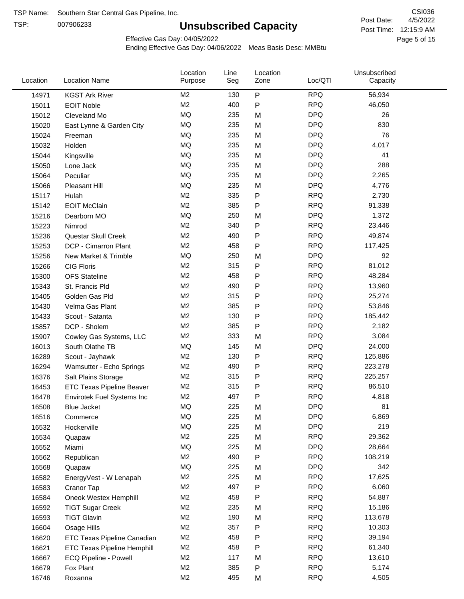TSP:

# **Unsubscribed Capacity**

4/5/2022 Page 5 of 15 Post Time: 12:15:9 AM CSI036 Post Date:

Effective Gas Day: 04/05/2022

| Location | <b>Location Name</b>               | Location<br>Purpose | Line<br>Seg | Location<br>Zone | Loc/QTI    | Unsubscribed<br>Capacity |  |
|----------|------------------------------------|---------------------|-------------|------------------|------------|--------------------------|--|
| 14971    | <b>KGST Ark River</b>              | M <sub>2</sub>      | 130         | P                | <b>RPQ</b> | 56,934                   |  |
| 15011    | <b>EOIT Noble</b>                  | M <sub>2</sub>      | 400         | P                | <b>RPQ</b> | 46,050                   |  |
| 15012    | Cleveland Mo                       | <b>MQ</b>           | 235         | M                | <b>DPQ</b> | 26                       |  |
| 15020    | East Lynne & Garden City           | MQ                  | 235         | M                | <b>DPQ</b> | 830                      |  |
| 15024    | Freeman                            | <b>MQ</b>           | 235         | M                | <b>DPQ</b> | 76                       |  |
| 15032    | Holden                             | <b>MQ</b>           | 235         | M                | <b>DPQ</b> | 4,017                    |  |
| 15044    | Kingsville                         | <b>MQ</b>           | 235         | M                | <b>DPQ</b> | 41                       |  |
| 15050    | Lone Jack                          | MQ                  | 235         | M                | <b>DPQ</b> | 288                      |  |
| 15064    | Peculiar                           | <b>MQ</b>           | 235         | M                | <b>DPQ</b> | 2,265                    |  |
| 15066    | Pleasant Hill                      | MQ                  | 235         | M                | <b>DPQ</b> | 4,776                    |  |
| 15117    | Hulah                              | M <sub>2</sub>      | 335         | P                | <b>RPQ</b> | 2,730                    |  |
| 15142    | <b>EOIT McClain</b>                | M <sub>2</sub>      | 385         | P                | <b>RPQ</b> | 91,338                   |  |
| 15216    | Dearborn MO                        | MQ                  | 250         | M                | <b>DPQ</b> | 1,372                    |  |
| 15223    | Nimrod                             | M <sub>2</sub>      | 340         | P                | <b>RPQ</b> | 23,446                   |  |
| 15236    | Questar Skull Creek                | M <sub>2</sub>      | 490         | P                | <b>RPQ</b> | 49,874                   |  |
| 15253    | DCP - Cimarron Plant               | M <sub>2</sub>      | 458         | P                | <b>RPQ</b> | 117,425                  |  |
| 15256    | New Market & Trimble               | <b>MQ</b>           | 250         | M                | <b>DPQ</b> | 92                       |  |
| 15266    | <b>CIG Floris</b>                  | M <sub>2</sub>      | 315         | P                | <b>RPQ</b> | 81,012                   |  |
| 15300    | <b>OFS Stateline</b>               | M <sub>2</sub>      | 458         | P                | <b>RPQ</b> | 48,284                   |  |
| 15343    | St. Francis Pld                    | M <sub>2</sub>      | 490         | P                | <b>RPQ</b> | 13,960                   |  |
| 15405    | Golden Gas Pld                     | M <sub>2</sub>      | 315         | P                | <b>RPQ</b> | 25,274                   |  |
| 15430    | Velma Gas Plant                    | M <sub>2</sub>      | 385         | P                | <b>RPQ</b> | 53,846                   |  |
| 15433    | Scout - Satanta                    | M <sub>2</sub>      | 130         | P                | <b>RPQ</b> | 185,442                  |  |
| 15857    | DCP - Sholem                       | M <sub>2</sub>      | 385         | P                | <b>RPQ</b> | 2,182                    |  |
| 15907    | Cowley Gas Systems, LLC            | M <sub>2</sub>      | 333         | M                | <b>RPQ</b> | 3,084                    |  |
| 16013    | South Olathe TB                    | MQ                  | 145         | M                | <b>DPQ</b> | 24,000                   |  |
| 16289    | Scout - Jayhawk                    | M <sub>2</sub>      | 130         | P                | <b>RPQ</b> | 125,886                  |  |
| 16294    | Wamsutter - Echo Springs           | M <sub>2</sub>      | 490         | P                | <b>RPQ</b> | 223,278                  |  |
| 16376    | Salt Plains Storage                | M <sub>2</sub>      | 315         | P                | <b>RPQ</b> | 225,257                  |  |
| 16453    | <b>ETC Texas Pipeline Beaver</b>   | M <sub>2</sub>      | 315         | P                | <b>RPQ</b> | 86,510                   |  |
| 16478    | Envirotek Fuel Systems Inc         | M <sub>2</sub>      | 497         | P                | <b>RPQ</b> | 4,818                    |  |
| 16508    | Blue Jacket                        | <b>MQ</b>           | 225         | M                | <b>DPQ</b> | 81                       |  |
| 16516    | Commerce                           | MQ                  | 225         | M                | <b>DPQ</b> | 6,869                    |  |
| 16532    | Hockerville                        | <b>MQ</b>           | 225         | M                | <b>DPQ</b> | 219                      |  |
| 16534    | Quapaw                             | M <sub>2</sub>      | 225         | M                | <b>RPQ</b> | 29,362                   |  |
| 16552    | Miami                              | MQ                  | 225         | M                | <b>DPQ</b> | 28,664                   |  |
| 16562    | Republican                         | M <sub>2</sub>      | 490         | Ρ                | <b>RPQ</b> | 108,219                  |  |
| 16568    | Quapaw                             | MQ                  | 225         | M                | <b>DPQ</b> | 342                      |  |
| 16582    | EnergyVest - W Lenapah             | M <sub>2</sub>      | 225         | M                | <b>RPQ</b> | 17,625                   |  |
| 16583    | Cranor Tap                         | M <sub>2</sub>      | 497         | Ρ                | <b>RPQ</b> | 6,060                    |  |
| 16584    | Oneok Westex Hemphill              | M2                  | 458         | Ρ                | <b>RPQ</b> | 54,887                   |  |
| 16592    | <b>TIGT Sugar Creek</b>            | M <sub>2</sub>      | 235         | M                | <b>RPQ</b> | 15,186                   |  |
| 16593    | <b>TIGT Glavin</b>                 | M <sub>2</sub>      | 190         | M                | <b>RPQ</b> | 113,678                  |  |
| 16604    | Osage Hills                        | M <sub>2</sub>      | 357         | Ρ                | <b>RPQ</b> | 10,303                   |  |
| 16620    | <b>ETC Texas Pipeline Canadian</b> | M <sub>2</sub>      | 458         | P                | <b>RPQ</b> | 39,194                   |  |
| 16621    | <b>ETC Texas Pipeline Hemphill</b> | M <sub>2</sub>      | 458         | Ρ                | <b>RPQ</b> | 61,340                   |  |
| 16667    | ECQ Pipeline - Powell              | M <sub>2</sub>      | 117         | M                | <b>RPQ</b> | 13,610                   |  |
| 16679    | Fox Plant                          | M <sub>2</sub>      | 385         | Ρ                | <b>RPQ</b> | 5,174                    |  |
| 16746    | Roxanna                            | M <sub>2</sub>      | 495         | M                | <b>RPQ</b> | 4,505                    |  |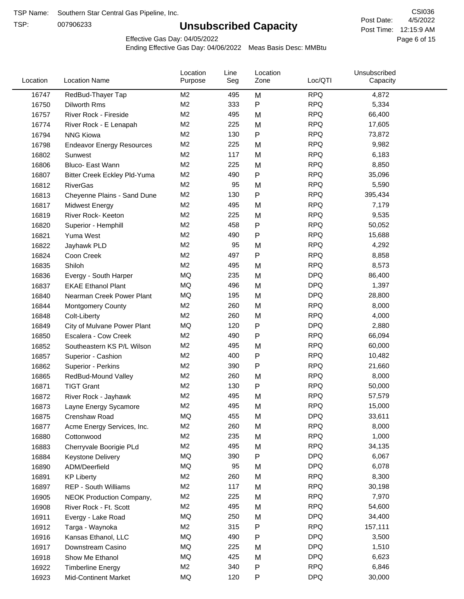TSP:

# **Unsubscribed Capacity**

4/5/2022 Page 6 of 15 Post Time: 12:15:9 AM CSI036 Post Date:

Effective Gas Day: 04/05/2022

| Location | <b>Location Name</b>             | Location<br>Purpose | Line<br>Seg | Location<br>Zone | Loc/QTI    | Unsubscribed<br>Capacity |  |
|----------|----------------------------------|---------------------|-------------|------------------|------------|--------------------------|--|
| 16747    | RedBud-Thayer Tap                | M2                  | 495         | M                | <b>RPQ</b> | 4,872                    |  |
| 16750    | Dilworth Rms                     | M <sub>2</sub>      | 333         | P                | <b>RPQ</b> | 5,334                    |  |
| 16757    | River Rock - Fireside            | M <sub>2</sub>      | 495         | M                | <b>RPQ</b> | 66,400                   |  |
| 16774    | River Rock - E Lenapah           | M <sub>2</sub>      | 225         | M                | <b>RPQ</b> | 17,605                   |  |
| 16794    | <b>NNG Kiowa</b>                 | M <sub>2</sub>      | 130         | P                | <b>RPQ</b> | 73,872                   |  |
| 16798    | <b>Endeavor Energy Resources</b> | M <sub>2</sub>      | 225         | M                | <b>RPQ</b> | 9,982                    |  |
| 16802    | Sunwest                          | M <sub>2</sub>      | 117         | M                | <b>RPQ</b> | 6,183                    |  |
| 16806    | Bluco- East Wann                 | M <sub>2</sub>      | 225         | M                | <b>RPQ</b> | 8,850                    |  |
| 16807    | Bitter Creek Eckley Pld-Yuma     | M <sub>2</sub>      | 490         | $\mathsf{P}$     | <b>RPQ</b> | 35,096                   |  |
| 16812    | <b>RiverGas</b>                  | M <sub>2</sub>      | 95          | M                | <b>RPQ</b> | 5,590                    |  |
| 16813    | Cheyenne Plains - Sand Dune      | M <sub>2</sub>      | 130         | P                | <b>RPQ</b> | 395,434                  |  |
| 16817    | <b>Midwest Energy</b>            | M <sub>2</sub>      | 495         | M                | <b>RPQ</b> | 7,179                    |  |
| 16819    | River Rock- Keeton               | M <sub>2</sub>      | 225         | M                | <b>RPQ</b> | 9,535                    |  |
| 16820    | Superior - Hemphill              | M <sub>2</sub>      | 458         | P                | <b>RPQ</b> | 50,052                   |  |
| 16821    | Yuma West                        | M <sub>2</sub>      | 490         | P                | <b>RPQ</b> | 15,688                   |  |
| 16822    | Jayhawk PLD                      | M <sub>2</sub>      | 95          | M                | <b>RPQ</b> | 4,292                    |  |
| 16824    | Coon Creek                       | M <sub>2</sub>      | 497         | P                | <b>RPQ</b> | 8,858                    |  |
| 16835    | Shiloh                           | M2                  | 495         | M                | <b>RPQ</b> | 8,573                    |  |
| 16836    | Evergy - South Harper            | MQ                  | 235         | M                | <b>DPQ</b> | 86,400                   |  |
| 16837    | <b>EKAE Ethanol Plant</b>        | MQ                  | 496         | M                | <b>DPQ</b> | 1,397                    |  |
| 16840    | Nearman Creek Power Plant        | MQ                  | 195         | M                | <b>DPQ</b> | 28,800                   |  |
| 16844    | <b>Montgomery County</b>         | M <sub>2</sub>      | 260         | M                | <b>RPQ</b> | 8,000                    |  |
| 16848    | Colt-Liberty                     | M <sub>2</sub>      | 260         | M                | <b>RPQ</b> | 4,000                    |  |
| 16849    | City of Mulvane Power Plant      | MQ                  | 120         | ${\sf P}$        | <b>DPQ</b> | 2,880                    |  |
| 16850    | Escalera - Cow Creek             | M <sub>2</sub>      | 490         | P                | <b>RPQ</b> | 66,094                   |  |
| 16852    | Southeastern KS P/L Wilson       | M <sub>2</sub>      | 495         | M                | <b>RPQ</b> | 60,000                   |  |
| 16857    | Superior - Cashion               | M2                  | 400         | P                | <b>RPQ</b> | 10,482                   |  |
| 16862    | Superior - Perkins               | M <sub>2</sub>      | 390         | P                | <b>RPQ</b> | 21,660                   |  |
| 16865    | RedBud-Mound Valley              | M <sub>2</sub>      | 260         | M                | <b>RPQ</b> | 8,000                    |  |
| 16871    | <b>TIGT Grant</b>                | M <sub>2</sub>      | 130         | P                | <b>RPQ</b> | 50,000                   |  |
| 16872    | River Rock - Jayhawk             | M <sub>2</sub>      | 495         | M                | <b>RPQ</b> | 57,579                   |  |
| 16873    | Layne Energy Sycamore            | M <sub>2</sub>      | 495         | M                | <b>RPQ</b> | 15,000                   |  |
| 16875    | Crenshaw Road                    | MQ                  | 455         | M                | <b>DPQ</b> | 33,611                   |  |
| 16877    | Acme Energy Services, Inc.       | M <sub>2</sub>      | 260         | M                | <b>RPQ</b> | 8,000                    |  |
| 16880    | Cottonwood                       | M <sub>2</sub>      | 235         | M                | <b>RPQ</b> | 1,000                    |  |
| 16883    | Cherryvale Boorigie PLd          | M <sub>2</sub>      | 495         | M                | <b>RPQ</b> | 34,135                   |  |
| 16884    | Keystone Delivery                | MQ                  | 390         | P                | <b>DPQ</b> | 6,067                    |  |
| 16890    | ADM/Deerfield                    | MQ                  | 95          | M                | <b>DPQ</b> | 6,078                    |  |
| 16891    | <b>KP Liberty</b>                | M <sub>2</sub>      | 260         | M                | <b>RPQ</b> | 8,300                    |  |
| 16897    | <b>REP - South Williams</b>      | M <sub>2</sub>      | 117         | M                | <b>RPQ</b> | 30,198                   |  |
| 16905    | NEOK Production Company,         | M <sub>2</sub>      | 225         | M                | <b>RPQ</b> | 7,970                    |  |
| 16908    | River Rock - Ft. Scott           | M2                  | 495         | M                | <b>RPQ</b> | 54,600                   |  |
| 16911    | Evergy - Lake Road               | MQ                  | 250         | M                | <b>DPQ</b> | 34,400                   |  |
| 16912    | Targa - Waynoka                  | M <sub>2</sub>      | 315         | P                | <b>RPQ</b> | 157,111                  |  |
| 16916    | Kansas Ethanol, LLC              | MQ                  | 490         | P                | <b>DPQ</b> | 3,500                    |  |
| 16917    | Downstream Casino                | MQ                  | 225         | M                | <b>DPQ</b> | 1,510                    |  |
| 16918    | Show Me Ethanol                  | MQ                  | 425         | M                | <b>DPQ</b> | 6,623                    |  |
| 16922    | <b>Timberline Energy</b>         | M <sub>2</sub>      | 340         | P                | <b>RPQ</b> | 6,846                    |  |
| 16923    | Mid-Continent Market             | MQ                  | 120         | P                | <b>DPQ</b> | 30,000                   |  |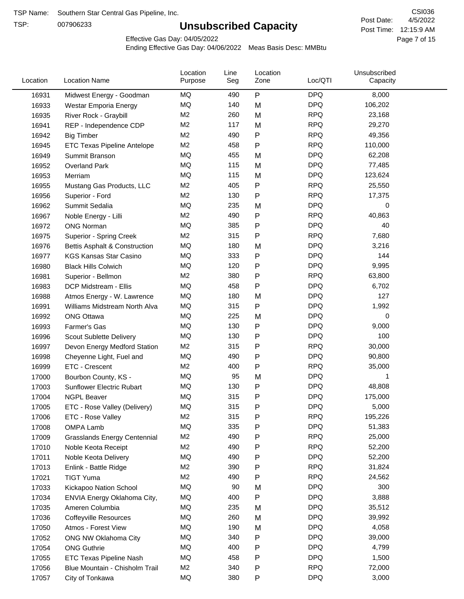TSP:

# **Unsubscribed Capacity**

4/5/2022 Page 7 of 15 Post Time: 12:15:9 AM CSI036 Post Date:

Effective Gas Day: 04/05/2022

| Location | <b>Location Name</b>                | Location<br>Purpose | Line<br>Seg | Location<br>Zone | Loc/QTI    | Unsubscribed<br>Capacity |  |
|----------|-------------------------------------|---------------------|-------------|------------------|------------|--------------------------|--|
| 16931    | Midwest Energy - Goodman            | MQ                  | 490         | ${\sf P}$        | <b>DPQ</b> | 8,000                    |  |
| 16933    | Westar Emporia Energy               | MQ                  | 140         | M                | <b>DPQ</b> | 106,202                  |  |
| 16935    | River Rock - Graybill               | M <sub>2</sub>      | 260         | M                | <b>RPQ</b> | 23,168                   |  |
| 16941    | REP - Independence CDP              | M <sub>2</sub>      | 117         | M                | <b>RPQ</b> | 29,270                   |  |
| 16942    | <b>Big Timber</b>                   | M <sub>2</sub>      | 490         | P                | <b>RPQ</b> | 49,356                   |  |
| 16945    | <b>ETC Texas Pipeline Antelope</b>  | M <sub>2</sub>      | 458         | P                | <b>RPQ</b> | 110,000                  |  |
| 16949    | Summit Branson                      | MQ                  | 455         | M                | <b>DPQ</b> | 62,208                   |  |
| 16952    | <b>Overland Park</b>                | MQ                  | 115         | M                | <b>DPQ</b> | 77,485                   |  |
| 16953    | Merriam                             | <b>MQ</b>           | 115         | M                | <b>DPQ</b> | 123,624                  |  |
| 16955    | Mustang Gas Products, LLC           | M <sub>2</sub>      | 405         | P                | <b>RPQ</b> | 25,550                   |  |
| 16956    | Superior - Ford                     | M <sub>2</sub>      | 130         | P                | <b>RPQ</b> | 17,375                   |  |
| 16962    | Summit Sedalia                      | MQ                  | 235         | M                | <b>DPQ</b> | 0                        |  |
| 16967    | Noble Energy - Lilli                | M <sub>2</sub>      | 490         | P                | <b>RPQ</b> | 40,863                   |  |
| 16972    | <b>ONG Norman</b>                   | <b>MQ</b>           | 385         | P                | <b>DPQ</b> | 40                       |  |
| 16975    | Superior - Spring Creek             | M <sub>2</sub>      | 315         | P                | <b>RPQ</b> | 7,680                    |  |
| 16976    | Bettis Asphalt & Construction       | MQ                  | 180         | M                | <b>DPQ</b> | 3,216                    |  |
| 16977    | <b>KGS Kansas Star Casino</b>       | MQ                  | 333         | P                | <b>DPQ</b> | 144                      |  |
| 16980    | <b>Black Hills Colwich</b>          | MQ                  | 120         | P                | <b>DPQ</b> | 9,995                    |  |
| 16981    | Superior - Bellmon                  | M <sub>2</sub>      | 380         | P                | <b>RPQ</b> | 63,800                   |  |
| 16983    | DCP Midstream - Ellis               | MQ                  | 458         | P                | <b>DPQ</b> | 6,702                    |  |
| 16988    | Atmos Energy - W. Lawrence          | MQ                  | 180         | M                | <b>DPQ</b> | 127                      |  |
| 16991    | Williams Midstream North Alva       | MQ                  | 315         | P                | <b>DPQ</b> | 1,992                    |  |
| 16992    | <b>ONG Ottawa</b>                   | <b>MQ</b>           | 225         | M                | <b>DPQ</b> | 0                        |  |
| 16993    | Farmer's Gas                        | <b>MQ</b>           | 130         | P                | <b>DPQ</b> | 9,000                    |  |
| 16996    | Scout Sublette Delivery             | MQ                  | 130         | P                | <b>DPQ</b> | 100                      |  |
| 16997    | Devon Energy Medford Station        | M <sub>2</sub>      | 315         | P                | <b>RPQ</b> | 30,000                   |  |
| 16998    | Cheyenne Light, Fuel and            | MQ                  | 490         | P                | <b>DPQ</b> | 90,800                   |  |
| 16999    | ETC - Crescent                      | M <sub>2</sub>      | 400         | P                | <b>RPQ</b> | 35,000                   |  |
| 17000    | Bourbon County, KS -                | MQ                  | 95          | M                | <b>DPQ</b> | 1                        |  |
| 17003    | Sunflower Electric Rubart           | MQ                  | 130         | P                | <b>DPQ</b> | 48,808                   |  |
| 17004    | <b>NGPL Beaver</b>                  | MQ                  | 315         | Ρ                | <b>DPQ</b> | 175,000                  |  |
| 17005    | ETC - Rose Valley (Delivery)        | MQ                  | 315         | Ρ                | <b>DPQ</b> | 5,000                    |  |
| 17006    | ETC - Rose Valley                   | M <sub>2</sub>      | 315         | P                | <b>RPQ</b> | 195,226                  |  |
| 17008    | <b>OMPA Lamb</b>                    | MQ                  | 335         | P                | <b>DPQ</b> | 51,383                   |  |
| 17009    | <b>Grasslands Energy Centennial</b> | M <sub>2</sub>      | 490         | P                | <b>RPQ</b> | 25,000                   |  |
| 17010    | Noble Keota Receipt                 | M <sub>2</sub>      | 490         | P                | <b>RPQ</b> | 52,200                   |  |
| 17011    | Noble Keota Delivery                | MQ                  | 490         | P                | <b>DPQ</b> | 52,200                   |  |
| 17013    | Enlink - Battle Ridge               | M <sub>2</sub>      | 390         | P                | <b>RPQ</b> | 31,824                   |  |
| 17021    | <b>TIGT Yuma</b>                    | M <sub>2</sub>      | 490         | Ρ                | <b>RPQ</b> | 24,562                   |  |
| 17033    | Kickapoo Nation School              | MQ                  | 90          | M                | <b>DPQ</b> | 300                      |  |
| 17034    | ENVIA Energy Oklahoma City,         | MQ                  | 400         | $\mathsf{P}$     | <b>DPQ</b> | 3,888                    |  |
| 17035    | Ameren Columbia                     | MQ                  | 235         | M                | <b>DPQ</b> | 35,512                   |  |
| 17036    | <b>Coffeyville Resources</b>        | MQ                  | 260         | M                | <b>DPQ</b> | 39,992                   |  |
| 17050    | Atmos - Forest View                 | MQ                  | 190         | M                | <b>DPQ</b> | 4,058                    |  |
| 17052    | ONG NW Oklahoma City                | MQ                  | 340         | P                | <b>DPQ</b> | 39,000                   |  |
| 17054    | <b>ONG Guthrie</b>                  | MQ                  | 400         | P                | <b>DPQ</b> | 4,799                    |  |
| 17055    | ETC Texas Pipeline Nash             | MQ                  | 458         | P                | <b>DPQ</b> | 1,500                    |  |
| 17056    | Blue Mountain - Chisholm Trail      | M <sub>2</sub>      | 340         | P                | <b>RPQ</b> | 72,000                   |  |
| 17057    | City of Tonkawa                     | MQ                  | 380         | P                | <b>DPQ</b> | 3,000                    |  |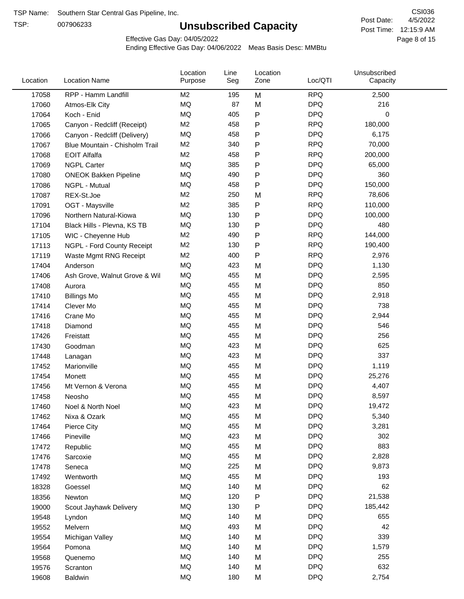TSP:

# **Unsubscribed Capacity**

4/5/2022 Page 8 of 15 Post Time: 12:15:9 AM CSI036 Post Date:

Effective Gas Day: 04/05/2022

| Location | <b>Location Name</b>           | Location<br>Purpose | Line<br>Seg | Location<br>Zone | Loc/QTI    | Unsubscribed<br>Capacity |  |
|----------|--------------------------------|---------------------|-------------|------------------|------------|--------------------------|--|
| 17058    | RPP - Hamm Landfill            | M <sub>2</sub>      | 195         | M                | <b>RPQ</b> | 2,500                    |  |
| 17060    | Atmos-Elk City                 | MQ                  | 87          | M                | <b>DPQ</b> | 216                      |  |
| 17064    | Koch - Enid                    | MQ                  | 405         | P                | <b>DPQ</b> | 0                        |  |
| 17065    | Canyon - Redcliff (Receipt)    | M <sub>2</sub>      | 458         | P                | <b>RPQ</b> | 180,000                  |  |
| 17066    | Canyon - Redcliff (Delivery)   | <b>MQ</b>           | 458         | P                | <b>DPQ</b> | 6,175                    |  |
| 17067    | Blue Mountain - Chisholm Trail | M <sub>2</sub>      | 340         | P                | <b>RPQ</b> | 70,000                   |  |
| 17068    | <b>EOIT Alfalfa</b>            | M <sub>2</sub>      | 458         | P                | <b>RPQ</b> | 200,000                  |  |
| 17069    | <b>NGPL Carter</b>             | MQ                  | 385         | P                | <b>DPQ</b> | 65,000                   |  |
| 17080    | <b>ONEOK Bakken Pipeline</b>   | MQ                  | 490         | P                | <b>DPQ</b> | 360                      |  |
| 17086    | NGPL - Mutual                  | MQ                  | 458         | P                | <b>DPQ</b> | 150,000                  |  |
| 17087    | REX-St.Joe                     | M <sub>2</sub>      | 250         | M                | <b>RPQ</b> | 78,606                   |  |
| 17091    | OGT - Maysville                | M <sub>2</sub>      | 385         | P                | <b>RPQ</b> | 110,000                  |  |
| 17096    | Northern Natural-Kiowa         | MQ                  | 130         | P                | <b>DPQ</b> | 100,000                  |  |
| 17104    | Black Hills - Plevna, KS TB    | MQ                  | 130         | P                | <b>DPQ</b> | 480                      |  |
| 17105    | WIC - Cheyenne Hub             | M <sub>2</sub>      | 490         | P                | <b>RPQ</b> | 144,000                  |  |
| 17113    | NGPL - Ford County Receipt     | M <sub>2</sub>      | 130         | P                | <b>RPQ</b> | 190,400                  |  |
| 17119    | Waste Mgmt RNG Receipt         | M <sub>2</sub>      | 400         | P                | <b>RPQ</b> | 2,976                    |  |
| 17404    | Anderson                       | MQ                  | 423         | M                | <b>DPQ</b> | 1,130                    |  |
| 17406    | Ash Grove, Walnut Grove & Wil  | MQ                  | 455         | M                | <b>DPQ</b> | 2,595                    |  |
| 17408    | Aurora                         | MQ                  | 455         | M                | <b>DPQ</b> | 850                      |  |
| 17410    | <b>Billings Mo</b>             | MQ                  | 455         | M                | <b>DPQ</b> | 2,918                    |  |
| 17414    | Clever Mo                      | MQ                  | 455         | M                | <b>DPQ</b> | 738                      |  |
| 17416    | Crane Mo                       | MQ                  | 455         | M                | <b>DPQ</b> | 2,944                    |  |
| 17418    | Diamond                        | MQ                  | 455         | M                | <b>DPQ</b> | 546                      |  |
| 17426    | Freistatt                      | MQ                  | 455         | M                | <b>DPQ</b> | 256                      |  |
| 17430    | Goodman                        | MQ                  | 423         | M                | <b>DPQ</b> | 625                      |  |
| 17448    | Lanagan                        | MQ                  | 423         | M                | <b>DPQ</b> | 337                      |  |
| 17452    | Marionville                    | MQ                  | 455         | M                | <b>DPQ</b> | 1,119                    |  |
| 17454    | Monett                         | MQ                  | 455         | M                | <b>DPQ</b> | 25,276                   |  |
| 17456    | Mt Vernon & Verona             | MQ                  | 455         | M                | <b>DPQ</b> | 4,407                    |  |
| 17458    | Neosho                         | <b>MQ</b>           | 455         | M                | <b>DPQ</b> | 8,597                    |  |
| 17460    | Noel & North Noel              | MQ                  | 423         | M                | <b>DPQ</b> | 19,472                   |  |
| 17462    | Nixa & Ozark                   | MQ                  | 455         | M                | <b>DPQ</b> | 5,340                    |  |
| 17464    | Pierce City                    | MQ                  | 455         | M                | <b>DPQ</b> | 3,281                    |  |
| 17466    | Pineville                      | MQ                  | 423         | M                | <b>DPQ</b> | 302                      |  |
| 17472    | Republic                       | MQ                  | 455         | M                | <b>DPQ</b> | 883                      |  |
| 17476    | Sarcoxie                       | MQ                  | 455         | M                | <b>DPQ</b> | 2,828                    |  |
| 17478    | Seneca                         | MQ                  | 225         | M                | <b>DPQ</b> | 9,873                    |  |
| 17492    | Wentworth                      | MQ                  | 455         | M                | <b>DPQ</b> | 193                      |  |
| 18328    | Goessel                        | MQ                  | 140         | M                | <b>DPQ</b> | 62                       |  |
| 18356    | Newton                         | MQ                  | 120         | P                | <b>DPQ</b> | 21,538                   |  |
| 19000    | Scout Jayhawk Delivery         | MQ                  | 130         | P                | <b>DPQ</b> | 185,442                  |  |
| 19548    | Lyndon                         | MQ                  | 140         | M                | <b>DPQ</b> | 655                      |  |
| 19552    | Melvern                        | MQ                  | 493         | M                | <b>DPQ</b> | 42                       |  |
| 19554    | Michigan Valley                | MQ                  | 140         | M                | <b>DPQ</b> | 339                      |  |
| 19564    | Pomona                         | MQ                  | 140         | Μ                | <b>DPQ</b> | 1,579                    |  |
| 19568    | Quenemo                        | MQ                  | 140         | M                | <b>DPQ</b> | 255                      |  |
| 19576    | Scranton                       | MQ                  | 140         | M                | <b>DPQ</b> | 632                      |  |
| 19608    | <b>Baldwin</b>                 | $\sf{MQ}$           | 180         | М                | <b>DPQ</b> | 2,754                    |  |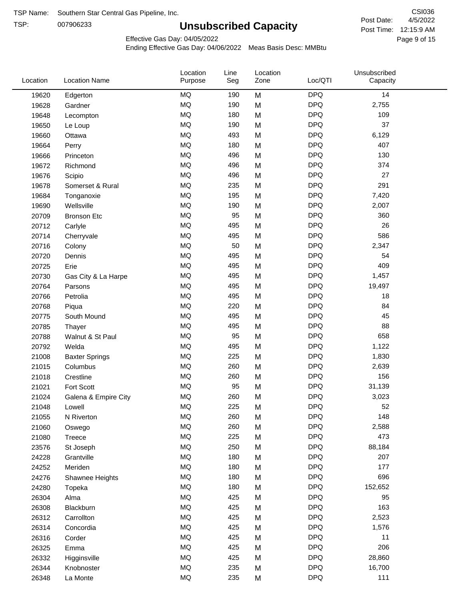TSP:

# **Unsubscribed Capacity**

4/5/2022 Page 9 of 15 Post Time: 12:15:9 AM CSI036 Post Date:

Effective Gas Day: 04/05/2022

| Location | <b>Location Name</b>  | Location<br>Purpose | Line<br>Seg | Location<br>Zone | Loc/QTI    | Unsubscribed<br>Capacity |  |
|----------|-----------------------|---------------------|-------------|------------------|------------|--------------------------|--|
| 19620    | Edgerton              | <b>MQ</b>           | 190         | M                | <b>DPQ</b> | 14                       |  |
| 19628    | Gardner               | MQ                  | 190         | M                | <b>DPQ</b> | 2,755                    |  |
| 19648    | Lecompton             | <b>MQ</b>           | 180         | M                | <b>DPQ</b> | 109                      |  |
| 19650    | Le Loup               | <b>MQ</b>           | 190         | M                | <b>DPQ</b> | 37                       |  |
| 19660    | Ottawa                | MQ                  | 493         | M                | <b>DPQ</b> | 6,129                    |  |
| 19664    | Perry                 | MQ                  | 180         | M                | <b>DPQ</b> | 407                      |  |
| 19666    | Princeton             | <b>MQ</b>           | 496         | M                | <b>DPQ</b> | 130                      |  |
| 19672    | Richmond              | MQ                  | 496         | M                | <b>DPQ</b> | 374                      |  |
| 19676    | Scipio                | MQ                  | 496         | M                | <b>DPQ</b> | 27                       |  |
| 19678    | Somerset & Rural      | MQ                  | 235         | M                | <b>DPQ</b> | 291                      |  |
| 19684    | Tonganoxie            | MQ                  | 195         | M                | <b>DPQ</b> | 7,420                    |  |
| 19690    | Wellsville            | <b>MQ</b>           | 190         | M                | <b>DPQ</b> | 2,007                    |  |
| 20709    | <b>Bronson Etc</b>    | <b>MQ</b>           | 95          | M                | <b>DPQ</b> | 360                      |  |
| 20712    | Carlyle               | <b>MQ</b>           | 495         | M                | <b>DPQ</b> | 26                       |  |
| 20714    | Cherryvale            | MQ                  | 495         | M                | <b>DPQ</b> | 586                      |  |
| 20716    | Colony                | MQ                  | 50          | M                | <b>DPQ</b> | 2,347                    |  |
| 20720    | Dennis                | MQ                  | 495         | M                | <b>DPQ</b> | 54                       |  |
| 20725    | Erie                  | MQ                  | 495         | M                | <b>DPQ</b> | 409                      |  |
| 20730    | Gas City & La Harpe   | <b>MQ</b>           | 495         | M                | <b>DPQ</b> | 1,457                    |  |
| 20764    | Parsons               | <b>MQ</b>           | 495         | M                | <b>DPQ</b> | 19,497                   |  |
| 20766    | Petrolia              | <b>MQ</b>           | 495         | M                | <b>DPQ</b> | 18                       |  |
| 20768    | Piqua                 | <b>MQ</b>           | 220         | M                | <b>DPQ</b> | 84                       |  |
| 20775    | South Mound           | <b>MQ</b>           | 495         | M                | <b>DPQ</b> | 45                       |  |
| 20785    | Thayer                | <b>MQ</b>           | 495         | M                | <b>DPQ</b> | 88                       |  |
| 20788    | Walnut & St Paul      | MQ                  | 95          | M                | <b>DPQ</b> | 658                      |  |
| 20792    | Welda                 | <b>MQ</b>           | 495         | M                | <b>DPQ</b> | 1,122                    |  |
| 21008    | <b>Baxter Springs</b> | <b>MQ</b>           | 225         | M                | <b>DPQ</b> | 1,830                    |  |
| 21015    | Columbus              | <b>MQ</b>           | 260         | M                | <b>DPQ</b> | 2,639                    |  |
| 21018    | Crestline             | <b>MQ</b>           | 260         | M                | <b>DPQ</b> | 156                      |  |
| 21021    | Fort Scott            | <b>MQ</b>           | 95          | M                | <b>DPQ</b> | 31,139                   |  |
| 21024    | Galena & Empire City  | <b>MQ</b>           | 260         | M                | <b>DPQ</b> | 3,023                    |  |
| 21048    | Lowell                | <b>MQ</b>           | 225         | M                | <b>DPQ</b> | 52                       |  |
| 21055    | N Riverton            | MQ                  | 260         | M                | <b>DPQ</b> | 148                      |  |
| 21060    | Oswego                | MQ                  | 260         | M                | <b>DPQ</b> | 2,588                    |  |
| 21080    | Treece                | <b>MQ</b>           | 225         | M                | <b>DPQ</b> | 473                      |  |
| 23576    | St Joseph             | MQ                  | 250         | M                | <b>DPQ</b> | 88,184                   |  |
| 24228    | Grantville            | MQ                  | 180         | M                | <b>DPQ</b> | 207                      |  |
| 24252    | Meriden               | MQ                  | 180         | M                | <b>DPQ</b> | 177                      |  |
| 24276    | Shawnee Heights       | MQ                  | 180         | M                | <b>DPQ</b> | 696                      |  |
| 24280    | Topeka                | MQ                  | 180         | M                | <b>DPQ</b> | 152,652                  |  |
| 26304    | Alma                  | MQ                  | 425         | M                | <b>DPQ</b> | 95                       |  |
| 26308    | Blackburn             | MQ                  | 425         | M                | <b>DPQ</b> | 163                      |  |
| 26312    | Carrollton            | MQ                  | 425         | M                | <b>DPQ</b> | 2,523                    |  |
| 26314    | Concordia             | <b>MQ</b>           | 425         | M                | <b>DPQ</b> | 1,576                    |  |
| 26316    | Corder                | MQ                  | 425         | M                | <b>DPQ</b> | 11                       |  |
| 26325    | Emma                  | MQ                  | 425         | M                | <b>DPQ</b> | 206                      |  |
| 26332    | Higginsville          | MQ                  | 425         | M                | <b>DPQ</b> | 28,860                   |  |
| 26344    | Knobnoster            | MQ                  | 235         | M                | <b>DPQ</b> | 16,700                   |  |
| 26348    | La Monte              | MQ                  | 235         | M                | <b>DPQ</b> | 111                      |  |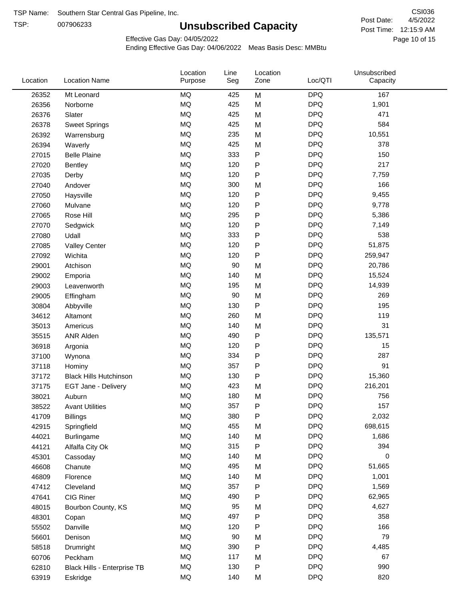TSP:

# **Unsubscribed Capacity**

4/5/2022 Page 10 of 15 Post Time: 12:15:9 AM CSI036 Post Date:

Unsubscribed

Effective Gas Day: 04/05/2022

Location

Ending Effective Gas Day: 04/06/2022 Meas Basis Desc: MMBtu

Line

Location

| Location | <b>Location Name</b>          | Purpose   | Seg | Zone         | Loc/QTI    | Capacity |  |
|----------|-------------------------------|-----------|-----|--------------|------------|----------|--|
| 26352    | Mt Leonard                    | MQ        | 425 | M            | <b>DPQ</b> | 167      |  |
| 26356    | Norborne                      | MQ        | 425 | M            | <b>DPQ</b> | 1,901    |  |
| 26376    | Slater                        | MQ        | 425 | M            | <b>DPQ</b> | 471      |  |
| 26378    | <b>Sweet Springs</b>          | MQ        | 425 | M            | <b>DPQ</b> | 584      |  |
| 26392    | Warrensburg                   | MQ        | 235 | M            | <b>DPQ</b> | 10,551   |  |
| 26394    | Waverly                       | <b>MQ</b> | 425 | M            | <b>DPQ</b> | 378      |  |
| 27015    | <b>Belle Plaine</b>           | MQ        | 333 | ${\sf P}$    | <b>DPQ</b> | 150      |  |
| 27020    | <b>Bentley</b>                | MQ        | 120 | P            | <b>DPQ</b> | 217      |  |
| 27035    | Derby                         | MQ        | 120 | P            | <b>DPQ</b> | 7,759    |  |
| 27040    | Andover                       | MQ        | 300 | M            | <b>DPQ</b> | 166      |  |
| 27050    | Haysville                     | MQ        | 120 | ${\sf P}$    | <b>DPQ</b> | 9,455    |  |
| 27060    | Mulvane                       | MQ        | 120 | P            | <b>DPQ</b> | 9,778    |  |
| 27065    | Rose Hill                     | MQ        | 295 | P            | <b>DPQ</b> | 5,386    |  |
| 27070    | Sedgwick                      | MQ        | 120 | P            | <b>DPQ</b> | 7,149    |  |
| 27080    | Udall                         | <b>MQ</b> | 333 | P            | <b>DPQ</b> | 538      |  |
| 27085    | <b>Valley Center</b>          | MQ        | 120 | P            | <b>DPQ</b> | 51,875   |  |
| 27092    | Wichita                       | MQ        | 120 | $\mathsf{P}$ | <b>DPQ</b> | 259,947  |  |
| 29001    | Atchison                      | MQ        | 90  | M            | <b>DPQ</b> | 20,786   |  |
| 29002    | Emporia                       | MQ        | 140 | M            | <b>DPQ</b> | 15,524   |  |
| 29003    | Leavenworth                   | MQ        | 195 | M            | <b>DPQ</b> | 14,939   |  |
| 29005    | Effingham                     | MQ        | 90  | M            | <b>DPQ</b> | 269      |  |
| 30804    | Abbyville                     | MQ        | 130 | P            | <b>DPQ</b> | 195      |  |
| 34612    | Altamont                      | MQ        | 260 | M            | <b>DPQ</b> | 119      |  |
| 35013    | Americus                      | <b>MQ</b> | 140 | M            | <b>DPQ</b> | 31       |  |
| 35515    | <b>ANR Alden</b>              | MQ        | 490 | ${\sf P}$    | <b>DPQ</b> | 135,571  |  |
| 36918    | Argonia                       | MQ        | 120 | ${\sf P}$    | <b>DPQ</b> | 15       |  |
| 37100    | Wynona                        | MQ        | 334 | P            | <b>DPQ</b> | 287      |  |
| 37118    | Hominy                        | MQ        | 357 | P            | <b>DPQ</b> | 91       |  |
| 37172    | <b>Black Hills Hutchinson</b> | MQ        | 130 | P            | <b>DPQ</b> | 15,360   |  |
| 37175    | EGT Jane - Delivery           | MQ        | 423 | M            | <b>DPQ</b> | 216,201  |  |
| 38021    | Auburn                        | <b>MQ</b> | 180 | M            | <b>DPQ</b> | 756      |  |
| 38522    | <b>Avant Utilities</b>        | MQ        | 357 | P            | <b>DPQ</b> | 157      |  |
| 41709    | <b>Billings</b>               | MQ        | 380 | P            | <b>DPQ</b> | 2,032    |  |
| 42915    | Springfield                   | MQ        | 455 | M            | <b>DPQ</b> | 698,615  |  |
| 44021    | Burlingame                    | $\sf{MQ}$ | 140 | M            | <b>DPQ</b> | 1,686    |  |
| 44121    | Alfalfa City Ok               | MQ        | 315 | P            | <b>DPQ</b> | 394      |  |
| 45301    | Cassoday                      | MQ        | 140 | M            | <b>DPQ</b> | 0        |  |
| 46608    | Chanute                       | MQ        | 495 | M            | <b>DPQ</b> | 51,665   |  |
| 46809    | Florence                      | MQ        | 140 | M            | <b>DPQ</b> | 1,001    |  |
| 47412    | Cleveland                     | MQ        | 357 | P            | <b>DPQ</b> | 1,569    |  |
| 47641    | CIG Riner                     | MQ        | 490 | P            | <b>DPQ</b> | 62,965   |  |
| 48015    | Bourbon County, KS            | MQ        | 95  | M            | <b>DPQ</b> | 4,627    |  |
| 48301    | Copan                         | MQ        | 497 | P            | <b>DPQ</b> | 358      |  |
| 55502    | Danville                      | $\sf{MQ}$ | 120 | Ρ            | <b>DPQ</b> | 166      |  |
| 56601    | Denison                       | MQ        | 90  | M            | <b>DPQ</b> | 79       |  |
| 58518    | Drumright                     | MQ        | 390 | P            | <b>DPQ</b> | 4,485    |  |
| 60706    | Peckham                       | MQ        | 117 | M            | <b>DPQ</b> | 67       |  |
| 62810    | Black Hills - Enterprise TB   | MQ        | 130 | P            | <b>DPQ</b> | 990      |  |
| 63919    | Eskridge                      | $\sf{MQ}$ | 140 | M            | <b>DPQ</b> | 820      |  |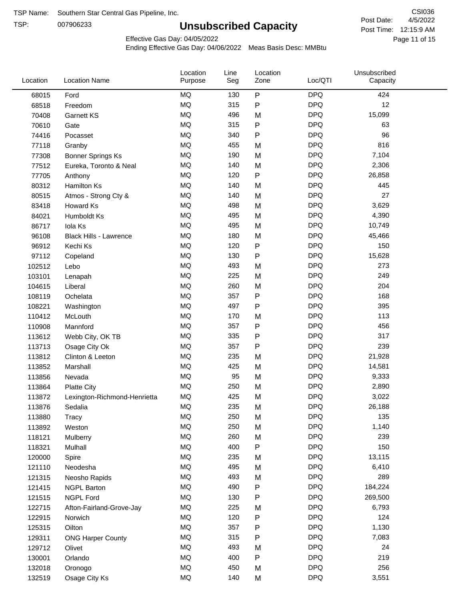TSP:

# **Unsubscribed Capacity**

4/5/2022 Page 11 of 15 Post Time: 12:15:9 AM CSI036 Post Date:

Effective Gas Day: 04/05/2022

| Location | <b>Location Name</b>          | Location<br>Purpose | Line<br>Seg | Location<br>Zone | Loc/QTI    | Unsubscribed<br>Capacity |  |
|----------|-------------------------------|---------------------|-------------|------------------|------------|--------------------------|--|
| 68015    | Ford                          | <b>MQ</b>           | 130         | $\mathsf{P}$     | <b>DPQ</b> | 424                      |  |
| 68518    | Freedom                       | <b>MQ</b>           | 315         | $\mathsf{P}$     | <b>DPQ</b> | 12                       |  |
| 70408    | <b>Garnett KS</b>             | <b>MQ</b>           | 496         | M                | <b>DPQ</b> | 15,099                   |  |
| 70610    | Gate                          | <b>MQ</b>           | 315         | P                | <b>DPQ</b> | 63                       |  |
| 74416    | Pocasset                      | <b>MQ</b>           | 340         | P                | <b>DPQ</b> | 96                       |  |
| 77118    | Granby                        | <b>MQ</b>           | 455         | M                | <b>DPQ</b> | 816                      |  |
| 77308    | <b>Bonner Springs Ks</b>      | MQ                  | 190         | M                | <b>DPQ</b> | 7,104                    |  |
| 77512    | Eureka, Toronto & Neal        | MQ                  | 140         | M                | <b>DPQ</b> | 2,306                    |  |
| 77705    | Anthony                       | <b>MQ</b>           | 120         | ${\sf P}$        | <b>DPQ</b> | 26,858                   |  |
| 80312    | <b>Hamilton Ks</b>            | <b>MQ</b>           | 140         | M                | <b>DPQ</b> | 445                      |  |
| 80515    | Atmos - Strong Cty &          | MQ                  | 140         | M                | <b>DPQ</b> | 27                       |  |
| 83418    | Howard Ks                     | <b>MQ</b>           | 498         | M                | <b>DPQ</b> | 3,629                    |  |
| 84021    | Humboldt Ks                   | MQ                  | 495         | M                | <b>DPQ</b> | 4,390                    |  |
| 86717    | Iola Ks                       | <b>MQ</b>           | 495         | M                | <b>DPQ</b> | 10,749                   |  |
| 96108    | <b>Black Hills - Lawrence</b> | MQ                  | 180         | M                | <b>DPQ</b> | 45,466                   |  |
| 96912    | Kechi Ks                      | MQ                  | 120         | P                | <b>DPQ</b> | 150                      |  |
| 97112    | Copeland                      | <b>MQ</b>           | 130         | P                | <b>DPQ</b> | 15,628                   |  |
| 102512   | Lebo                          | <b>MQ</b>           | 493         | M                | <b>DPQ</b> | 273                      |  |
| 103101   | Lenapah                       | <b>MQ</b>           | 225         | M                | <b>DPQ</b> | 249                      |  |
| 104615   | Liberal                       | <b>MQ</b>           | 260         | M                | <b>DPQ</b> | 204                      |  |
| 108119   | Ochelata                      | <b>MQ</b>           | 357         | ${\sf P}$        | <b>DPQ</b> | 168                      |  |
| 108221   | Washington                    | <b>MQ</b>           | 497         | P                | <b>DPQ</b> | 395                      |  |
| 110412   | McLouth                       | <b>MQ</b>           | 170         | M                | <b>DPQ</b> | 113                      |  |
| 110908   | Mannford                      | <b>MQ</b>           | 357         | $\mathsf{P}$     | <b>DPQ</b> | 456                      |  |
| 113612   | Webb City, OK TB              | MQ                  | 335         | P                | <b>DPQ</b> | 317                      |  |
| 113713   | Osage City Ok                 | MQ                  | 357         | P                | <b>DPQ</b> | 239                      |  |
| 113812   | Clinton & Leeton              | <b>MQ</b>           | 235         | M                | <b>DPQ</b> | 21,928                   |  |
| 113852   | Marshall                      | <b>MQ</b>           | 425         | M                | <b>DPQ</b> | 14,581                   |  |
| 113856   | Nevada                        | <b>MQ</b>           | 95          | M                | <b>DPQ</b> | 9,333                    |  |
| 113864   | <b>Platte City</b>            | MQ                  | 250         | M                | <b>DPQ</b> | 2,890                    |  |
| 113872   | Lexington-Richmond-Henrietta  | MQ                  | 425         | M                | <b>DPQ</b> | 3,022                    |  |
| 113876   | Sedalia                       | MQ                  | 235         | M                | <b>DPQ</b> | 26,188                   |  |
| 113880   | Tracy                         | MQ                  | 250         | M                | <b>DPQ</b> | 135                      |  |
| 113892   | Weston                        | MQ                  | 250         | M                | <b>DPQ</b> | 1,140                    |  |
| 118121   | Mulberry                      | MQ                  | 260         | M                | <b>DPQ</b> | 239                      |  |
| 118321   | Mulhall                       | MQ                  | 400         | P                | <b>DPQ</b> | 150                      |  |
| 120000   | Spire                         | MQ                  | 235         | M                | <b>DPQ</b> | 13,115                   |  |
| 121110   | Neodesha                      | MQ                  | 495         | M                | <b>DPQ</b> | 6,410                    |  |
| 121315   | Neosho Rapids                 | <b>MQ</b>           | 493         | M                | <b>DPQ</b> | 289                      |  |
| 121415   | <b>NGPL Barton</b>            | MQ                  | 490         | P                | <b>DPQ</b> | 184,224                  |  |
| 121515   | <b>NGPL Ford</b>              | MQ                  | 130         | P                | <b>DPQ</b> | 269,500                  |  |
| 122715   | Afton-Fairland-Grove-Jay      | MQ                  | 225         | M                | <b>DPQ</b> | 6,793                    |  |
| 122915   | Norwich                       | MQ                  | 120         | P                | <b>DPQ</b> | 124                      |  |
| 125315   | Oilton                        | MQ                  | 357         | ${\sf P}$        | <b>DPQ</b> | 1,130                    |  |
| 129311   | <b>ONG Harper County</b>      | MQ                  | 315         | P                | <b>DPQ</b> | 7,083                    |  |
| 129712   | Olivet                        | MQ                  | 493         | M                | <b>DPQ</b> | 24                       |  |
| 130001   | Orlando                       | MQ                  | 400         | ${\sf P}$        | <b>DPQ</b> | 219                      |  |
| 132018   | Oronogo                       | <b>MQ</b>           | 450         | M                | <b>DPQ</b> | 256                      |  |
| 132519   | Osage City Ks                 | <b>MQ</b>           | 140         | M                | <b>DPQ</b> | 3,551                    |  |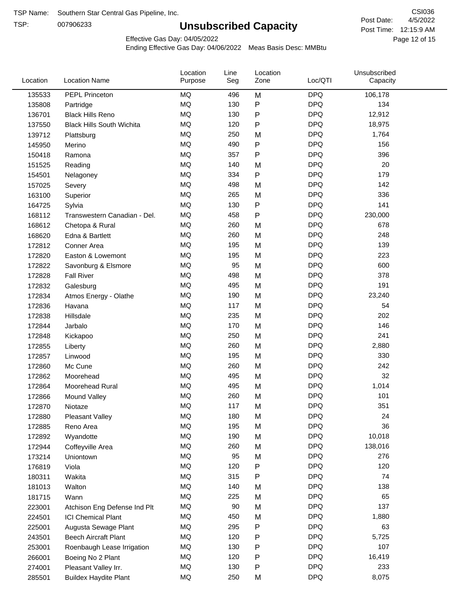TSP:

# **Unsubscribed Capacity**

4/5/2022 Page 12 of 15 Post Time: 12:15:9 AM CSI036 Post Date:

Effective Gas Day: 04/05/2022

| Location | <b>Location Name</b>             | Location<br>Purpose | Line<br>Seg | Location<br>Zone | Loc/QTI    | Unsubscribed<br>Capacity |  |
|----------|----------------------------------|---------------------|-------------|------------------|------------|--------------------------|--|
| 135533   | PEPL Princeton                   | <b>MQ</b>           | 496         | M                | <b>DPQ</b> | 106,178                  |  |
| 135808   | Partridge                        | <b>MQ</b>           | 130         | P                | <b>DPQ</b> | 134                      |  |
| 136701   | <b>Black Hills Reno</b>          | MQ                  | 130         | P                | <b>DPQ</b> | 12,912                   |  |
| 137550   | <b>Black Hills South Wichita</b> | <b>MQ</b>           | 120         | P                | <b>DPQ</b> | 18,975                   |  |
| 139712   | Plattsburg                       | <b>MQ</b>           | 250         | M                | <b>DPQ</b> | 1,764                    |  |
| 145950   | Merino                           | <b>MQ</b>           | 490         | P                | <b>DPQ</b> | 156                      |  |
| 150418   | Ramona                           | <b>MQ</b>           | 357         | P                | <b>DPQ</b> | 396                      |  |
| 151525   | Reading                          | <b>MQ</b>           | 140         | M                | <b>DPQ</b> | 20                       |  |
| 154501   | Nelagoney                        | MQ                  | 334         | P                | <b>DPQ</b> | 179                      |  |
| 157025   | Severy                           | <b>MQ</b>           | 498         | M                | <b>DPQ</b> | 142                      |  |
| 163100   | Superior                         | <b>MQ</b>           | 265         | M                | <b>DPQ</b> | 336                      |  |
| 164725   | Sylvia                           | <b>MQ</b>           | 130         | P                | <b>DPQ</b> | 141                      |  |
| 168112   | Transwestern Canadian - Del.     | <b>MQ</b>           | 458         | P                | <b>DPQ</b> | 230,000                  |  |
| 168612   | Chetopa & Rural                  | <b>MQ</b>           | 260         | M                | <b>DPQ</b> | 678                      |  |
| 168620   | Edna & Bartlett                  | <b>MQ</b>           | 260         | M                | <b>DPQ</b> | 248                      |  |
| 172812   | Conner Area                      | <b>MQ</b>           | 195         | M                | <b>DPQ</b> | 139                      |  |
| 172820   | Easton & Lowemont                | MQ                  | 195         | M                | <b>DPQ</b> | 223                      |  |
| 172822   | Savonburg & Elsmore              | MQ                  | 95          | M                | <b>DPQ</b> | 600                      |  |
| 172828   | <b>Fall River</b>                | <b>MQ</b>           | 498         | M                | <b>DPQ</b> | 378                      |  |
| 172832   | Galesburg                        | <b>MQ</b>           | 495         | M                | <b>DPQ</b> | 191                      |  |
| 172834   | Atmos Energy - Olathe            | <b>MQ</b>           | 190         | M                | <b>DPQ</b> | 23,240                   |  |
| 172836   | Havana                           | <b>MQ</b>           | 117         | M                | <b>DPQ</b> | 54                       |  |
| 172838   | Hillsdale                        | <b>MQ</b>           | 235         | M                | <b>DPQ</b> | 202                      |  |
| 172844   | Jarbalo                          | <b>MQ</b>           | 170         | M                | <b>DPQ</b> | 146                      |  |
| 172848   | Kickapoo                         | <b>MQ</b>           | 250         | M                | <b>DPQ</b> | 241                      |  |
| 172855   | Liberty                          | <b>MQ</b>           | 260         | M                | <b>DPQ</b> | 2,880                    |  |
| 172857   | Linwood                          | <b>MQ</b>           | 195         | M                | <b>DPQ</b> | 330                      |  |
| 172860   | Mc Cune                          | <b>MQ</b>           | 260         | M                | <b>DPQ</b> | 242                      |  |
| 172862   | Moorehead                        | <b>MQ</b>           | 495         | M                | <b>DPQ</b> | 32                       |  |
| 172864   | Moorehead Rural                  | <b>MQ</b>           | 495         | M                | <b>DPQ</b> | 1,014                    |  |
| 172866   | Mound Valley                     | <b>MQ</b>           | 260         | M                | <b>DPQ</b> | 101                      |  |
| 172870   | Niotaze                          | MQ                  | 117         | M                | <b>DPQ</b> | 351                      |  |
| 172880   | <b>Pleasant Valley</b>           | MQ                  | 180         | M                | <b>DPQ</b> | 24                       |  |
| 172885   | Reno Area                        | <b>MQ</b>           | 195         | M                | <b>DPQ</b> | 36                       |  |
| 172892   | Wyandotte                        | MQ                  | 190         | M                | <b>DPQ</b> | 10,018                   |  |
| 172944   | Coffeyville Area                 | MQ                  | 260         | M                | <b>DPQ</b> | 138,016                  |  |
| 173214   | Uniontown                        | <b>MQ</b>           | 95          | M                | <b>DPQ</b> | 276                      |  |
| 176819   | Viola                            | <b>MQ</b>           | 120         | P                | <b>DPQ</b> | 120                      |  |
| 180311   | Wakita                           | MQ                  | 315         | Ρ                | <b>DPQ</b> | 74                       |  |
| 181013   | Walton                           | MQ                  | 140         | M                | <b>DPQ</b> | 138                      |  |
| 181715   | Wann                             | MQ                  | 225         | M                | <b>DPQ</b> | 65                       |  |
| 223001   | Atchison Eng Defense Ind Plt     | <b>MQ</b>           | 90          | M                | <b>DPQ</b> | 137                      |  |
| 224501   | <b>ICI Chemical Plant</b>        | MQ                  | 450         | M                | <b>DPQ</b> | 1,880                    |  |
| 225001   | Augusta Sewage Plant             | MQ                  | 295         | Ρ                | <b>DPQ</b> | 63                       |  |
| 243501   | <b>Beech Aircraft Plant</b>      | MQ                  | 120         | Ρ                | <b>DPQ</b> | 5,725                    |  |
| 253001   | Roenbaugh Lease Irrigation       | MQ                  | 130         | Ρ                | <b>DPQ</b> | 107                      |  |
| 266001   | Boeing No 2 Plant                | MQ                  | 120         | Ρ                | <b>DPQ</b> | 16,419                   |  |
| 274001   | Pleasant Valley Irr.             | MQ                  | 130         | P                | <b>DPQ</b> | 233                      |  |
| 285501   | <b>Buildex Haydite Plant</b>     | MQ                  | 250         | M                | <b>DPQ</b> | 8,075                    |  |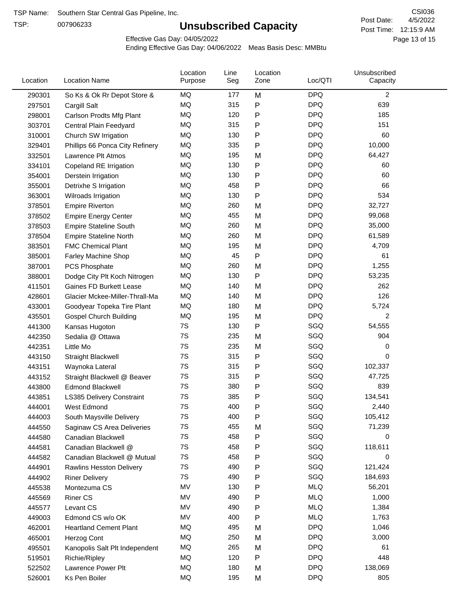TSP:

# **Unsubscribed Capacity**

4/5/2022 Page 13 of 15 Post Time: 12:15:9 AM CSI036 Post Date:

Effective Gas Day: 04/05/2022

| Location | <b>Location Name</b>             | Location<br>Purpose | Line<br>Seg | Location<br>Zone | Loc/QTI    | Unsubscribed<br>Capacity |  |
|----------|----------------------------------|---------------------|-------------|------------------|------------|--------------------------|--|
| 290301   | So Ks & Ok Rr Depot Store &      | MQ                  | 177         | M                | <b>DPQ</b> | 2                        |  |
| 297501   | Cargill Salt                     | MQ                  | 315         | P                | <b>DPQ</b> | 639                      |  |
| 298001   | Carlson Prodts Mfg Plant         | MQ                  | 120         | P                | <b>DPQ</b> | 185                      |  |
| 303701   | Central Plain Feedyard           | MQ                  | 315         | Ρ                | <b>DPQ</b> | 151                      |  |
| 310001   | Church SW Irrigation             | MQ                  | 130         | Ρ                | <b>DPQ</b> | 60                       |  |
| 329401   | Phillips 66 Ponca City Refinery  | MQ                  | 335         | P                | <b>DPQ</b> | 10,000                   |  |
| 332501   | Lawrence Plt Atmos               | MQ                  | 195         | M                | <b>DPQ</b> | 64,427                   |  |
| 334101   | Copeland RE Irrigation           | MQ                  | 130         | P                | <b>DPQ</b> | 60                       |  |
| 354001   | Derstein Irrigation              | MQ                  | 130         | P                | <b>DPQ</b> | 60                       |  |
| 355001   | Detrixhe S Irrigation            | MQ                  | 458         | P                | <b>DPQ</b> | 66                       |  |
| 363001   | Wilroads Irrigation              | MQ                  | 130         | P                | <b>DPQ</b> | 534                      |  |
| 378501   | <b>Empire Riverton</b>           | MQ                  | 260         | M                | <b>DPQ</b> | 32,727                   |  |
| 378502   | <b>Empire Energy Center</b>      | <b>MQ</b>           | 455         | M                | <b>DPQ</b> | 99,068                   |  |
| 378503   | <b>Empire Stateline South</b>    | MQ                  | 260         | M                | <b>DPQ</b> | 35,000                   |  |
| 378504   | <b>Empire Stateline North</b>    | MQ                  | 260         | M                | <b>DPQ</b> | 61,589                   |  |
| 383501   | <b>FMC Chemical Plant</b>        | MQ                  | 195         | M                | <b>DPQ</b> | 4,709                    |  |
| 385001   | Farley Machine Shop              | MQ                  | 45          | P                | <b>DPQ</b> | 61                       |  |
| 387001   | PCS Phosphate                    | MQ                  | 260         | M                | <b>DPQ</b> | 1,255                    |  |
| 388001   | Dodge City Plt Koch Nitrogen     | MQ                  | 130         | P                | <b>DPQ</b> | 53,235                   |  |
| 411501   | <b>Gaines FD Burkett Lease</b>   | MQ                  | 140         | M                | <b>DPQ</b> | 262                      |  |
| 428601   | Glacier Mckee-Miller-Thrall-Ma   | MQ                  | 140         | M                | <b>DPQ</b> | 126                      |  |
| 433001   | Goodyear Topeka Tire Plant       | <b>MQ</b>           | 180         | M                | <b>DPQ</b> | 5,724                    |  |
| 435501   | <b>Gospel Church Building</b>    | MQ                  | 195         | M                | <b>DPQ</b> | 2                        |  |
| 441300   | Kansas Hugoton                   | 7S                  | 130         | P                | SGQ        | 54,555                   |  |
| 442350   | Sedalia @ Ottawa                 | 7S                  | 235         | M                | SGQ        | 904                      |  |
| 442351   | Little Mo                        | 7S                  | 235         | M                | SGQ        | 0                        |  |
| 443150   | <b>Straight Blackwell</b>        | 7S                  | 315         | P                | SGQ        | 0                        |  |
| 443151   | Waynoka Lateral                  | 7S                  | 315         | P                | SGQ        | 102,337                  |  |
| 443152   | Straight Blackwell @ Beaver      | 7S                  | 315         | P                | SGQ        | 47,725                   |  |
| 443800   | <b>Edmond Blackwell</b>          | 7S                  | 380         | Ρ                | SGQ        | 839                      |  |
| 443851   | <b>LS385 Delivery Constraint</b> | 7S                  | 385         | P                | SGQ        | 134,541                  |  |
| 444001   | West Edmond                      | 7S                  | 400         | P                | SGQ        | 2,440                    |  |
| 444003   | South Maysville Delivery         | 7S                  | 400         | P                | SGQ        | 105,412                  |  |
| 444550   | Saginaw CS Area Deliveries       | 7S                  | 455         | M                | SGQ        | 71,239                   |  |
| 444580   | Canadian Blackwell               | 7S                  | 458         | P                | SGQ        | 0                        |  |
| 444581   | Canadian Blackwell @             | 7S                  | 458         | P                | SGQ        | 118,611                  |  |
| 444582   | Canadian Blackwell @ Mutual      | 7S                  | 458         | Ρ                | SGQ        | 0                        |  |
| 444901   | <b>Rawlins Hesston Delivery</b>  | 7S                  | 490         | P                | SGQ        | 121,424                  |  |
| 444902   | <b>Riner Delivery</b>            | 7S                  | 490         | Ρ                | SGQ        | 184,693                  |  |
| 445538   | Montezuma CS                     | MV                  | 130         | P                | <b>MLQ</b> | 56,201                   |  |
| 445569   | <b>Riner CS</b>                  | MV                  | 490         | P                | <b>MLQ</b> | 1,000                    |  |
| 445577   | Levant CS                        | MV                  | 490         | P                | <b>MLQ</b> | 1,384                    |  |
| 449003   | Edmond CS w/o OK                 | MV                  | 400         | P                | <b>MLQ</b> | 1,763                    |  |
| 462001   | <b>Heartland Cement Plant</b>    | MQ                  | 495         | M                | <b>DPQ</b> | 1,046                    |  |
| 465001   | Herzog Cont                      | MQ                  | 250         | M                | <b>DPQ</b> | 3,000                    |  |
| 495501   | Kanopolis Salt Plt Independent   | MQ                  | 265         | M                | <b>DPQ</b> | 61                       |  |
| 519501   | Richie/Ripley                    | MQ                  | 120         | P                | <b>DPQ</b> | 448                      |  |
| 522502   | Lawrence Power Plt               | MQ                  | 180         | M                | <b>DPQ</b> | 138,069                  |  |
| 526001   | Ks Pen Boiler                    | MQ                  | 195         | M                | <b>DPQ</b> | 805                      |  |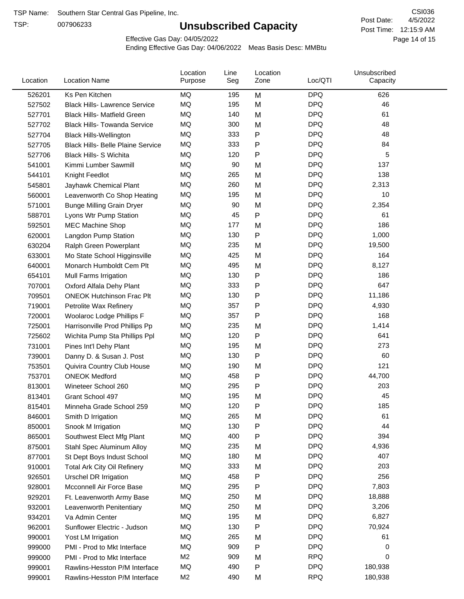TSP:

# **Unsubscribed Capacity**

4/5/2022 Page 14 of 15 Post Time: 12:15:9 AM CSI036 Post Date:

Effective Gas Day: 04/05/2022

| Ks Pen Kitchen<br><b>DPQ</b><br>626<br>526201<br>ΜQ<br>195<br>M<br>MQ<br>195<br><b>DPQ</b><br>46<br>M<br>527502<br><b>Black Hills- Lawrence Service</b><br><b>DPQ</b><br>MQ<br>140<br>M<br>61<br>527701<br><b>Black Hills- Matfield Green</b><br><b>DPQ</b><br>MQ<br>48<br>300<br><b>Black Hills- Towanda Service</b><br>M<br>527702<br><b>DPQ</b><br>MQ<br>Ρ<br>48<br>333<br>527704<br><b>Black Hills-Wellington</b><br>MQ<br>333<br><b>DPQ</b><br>84<br>Ρ<br>527705<br><b>Black Hills- Belle Plaine Service</b><br><b>MQ</b><br><b>DPQ</b><br>120<br>5<br>527706<br><b>Black Hills- S Wichita</b><br>P<br><b>DPQ</b><br>MQ<br>90<br>137<br>M<br>541001<br>Kimmi Lumber Sawmill<br>MQ<br><b>DPQ</b><br>138<br>265<br>M<br>544101<br>Knight Feedlot<br>MQ<br>260<br>M<br><b>DPQ</b><br>2,313<br>545801<br>Jayhawk Chemical Plant<br>MQ<br>195<br><b>DPQ</b><br>10<br>560001<br>Leavenworth Co Shop Heating<br>M<br>MQ<br><b>DPQ</b><br>90<br>2,354<br>M<br>571001<br><b>Bunge Milling Grain Dryer</b><br>MQ<br><b>DPQ</b><br>45<br>P<br>61<br>588701<br>Lyons Wtr Pump Station<br><b>DPQ</b><br>MQ<br>177<br>186<br>M<br>592501<br><b>MEC Machine Shop</b><br><b>DPQ</b><br>MQ<br>130<br>1,000<br>P<br>620001<br>Langdon Pump Station<br>MQ<br><b>DPQ</b><br>19,500<br>235<br>M<br>630204<br>Ralph Green Powerplant<br><b>DPQ</b><br>MQ<br>425<br>164<br>M<br>633001<br>Mo State School Higginsville<br>MQ<br><b>DPQ</b><br>8,127<br>495<br>M<br>640001<br>Monarch Humboldt Cem Plt<br>MQ<br>P<br><b>DPQ</b><br>186<br>130<br>654101<br>Mull Farms Irrigation<br>647<br>MQ<br>333<br>Ρ<br><b>DPQ</b><br>707001<br>Oxford Alfala Dehy Plant<br>MQ<br><b>DPQ</b><br>130<br>11,186<br>Ρ<br>709501<br><b>ONEOK Hutchinson Frac Plt</b><br>MQ<br><b>DPQ</b><br>357<br>$\mathsf{P}$<br>4,930<br>719001<br>Petrolite Wax Refinery<br><b>DPQ</b><br>MQ<br>357<br>Ρ<br>168<br>720001<br>Woolaroc Lodge Phillips F<br>MQ<br><b>DPQ</b><br>1,414<br>235<br>M<br>725001<br>Harrisonville Prod Phillips Pp<br>MQ<br>120<br>Ρ<br><b>DPQ</b><br>641<br>725602<br>Wichita Pump Sta Phillips Ppl<br><b>DPQ</b><br>MQ<br>273<br>195<br>731001<br>M<br>Pines Int'l Dehy Plant<br>P<br>MQ<br><b>DPQ</b><br>60<br>130<br>739001<br>Danny D. & Susan J. Post<br>MQ<br><b>DPQ</b><br>121<br>190<br>753501<br>M<br>Quivira Country Club House<br>MQ<br>458<br>Ρ<br><b>DPQ</b><br>44,700<br>753701<br><b>ONEOK Medford</b><br>MQ<br><b>DPQ</b><br>203<br>295<br>813001<br>Wineteer School 260<br>P<br><b>DPQ</b><br>MQ<br>195<br>M<br>45<br>813401<br>Grant School 497<br><b>DPQ</b><br>MQ<br>120<br>185<br>815401<br>Minneha Grade School 259<br>P<br>MQ<br><b>DPQ</b><br>265<br>M<br>61<br>846001<br>Smith D Irrigation<br>MQ<br>130<br>P<br><b>DPQ</b><br>44<br>850001<br>Snook M Irrigation<br>MQ<br><b>DPQ</b><br>394<br>400<br>Ρ<br>865001<br>Southwest Elect Mfg Plant<br>MQ<br><b>DPQ</b><br>235<br>4,936<br>875001<br>Stahl Spec Aluminum Alloy<br>M<br><b>DPQ</b><br>MQ<br>180<br>M<br>407<br>St Dept Boys Indust School<br>877001<br><b>DPQ</b><br>MQ<br>333<br>M<br>203<br>910001<br><b>Total Ark City Oil Refinery</b><br>256<br>MQ<br>458<br><b>DPQ</b><br>Ρ<br>926501<br>Urschel DR Irrigation<br><b>DPQ</b><br>MQ<br>295<br>P<br>7,803<br>Mcconnell Air Force Base<br>928001<br>MQ<br><b>DPQ</b><br>18,888<br>250<br>929201<br>M<br>Ft. Leavenworth Army Base<br>MQ<br>250<br><b>DPQ</b><br>3,206<br>M<br>932001<br>Leavenworth Penitentiary<br>MQ<br>195<br><b>DPQ</b><br>6,827<br>934201<br>Va Admin Center<br>M<br>MQ<br><b>DPQ</b><br>130<br>Ρ<br>70,924<br>962001<br>Sunflower Electric - Judson<br>MQ<br><b>DPQ</b><br>265<br>61<br>M<br>990001<br>Yost LM Irrigation<br><b>DPQ</b><br>MQ<br>909<br>Ρ<br>0<br>999000<br>PMI - Prod to Mkt Interface<br>M <sub>2</sub><br>909<br><b>RPQ</b><br>M<br>0<br>999000<br>PMI - Prod to Mkt Interface<br>MQ<br>490<br>P<br><b>DPQ</b><br>180,938<br>999001<br>Rawlins-Hesston P/M Interface<br><b>RPQ</b><br>M <sub>2</sub><br>490<br>Rawlins-Hesston P/M Interface<br>M<br>180,938<br>999001 | Location | <b>Location Name</b> | Location<br>Purpose | Line<br>Seg | Location<br>Zone | Loc/QTI | Unsubscribed<br>Capacity |  |
|------------------------------------------------------------------------------------------------------------------------------------------------------------------------------------------------------------------------------------------------------------------------------------------------------------------------------------------------------------------------------------------------------------------------------------------------------------------------------------------------------------------------------------------------------------------------------------------------------------------------------------------------------------------------------------------------------------------------------------------------------------------------------------------------------------------------------------------------------------------------------------------------------------------------------------------------------------------------------------------------------------------------------------------------------------------------------------------------------------------------------------------------------------------------------------------------------------------------------------------------------------------------------------------------------------------------------------------------------------------------------------------------------------------------------------------------------------------------------------------------------------------------------------------------------------------------------------------------------------------------------------------------------------------------------------------------------------------------------------------------------------------------------------------------------------------------------------------------------------------------------------------------------------------------------------------------------------------------------------------------------------------------------------------------------------------------------------------------------------------------------------------------------------------------------------------------------------------------------------------------------------------------------------------------------------------------------------------------------------------------------------------------------------------------------------------------------------------------------------------------------------------------------------------------------------------------------------------------------------------------------------------------------------------------------------------------------------------------------------------------------------------------------------------------------------------------------------------------------------------------------------------------------------------------------------------------------------------------------------------------------------------------------------------------------------------------------------------------------------------------------------------------------------------------------------------------------------------------------------------------------------------------------------------------------------------------------------------------------------------------------------------------------------------------------------------------------------------------------------------------------------------------------------------------------------------------------------------------------------------------------------------------------------------------------------------------------------------------------------------------------------------------------------------------------------------------------------------------------------------------------------------------------------------------------------------------------------------------------------------------------------------------------------|----------|----------------------|---------------------|-------------|------------------|---------|--------------------------|--|
|                                                                                                                                                                                                                                                                                                                                                                                                                                                                                                                                                                                                                                                                                                                                                                                                                                                                                                                                                                                                                                                                                                                                                                                                                                                                                                                                                                                                                                                                                                                                                                                                                                                                                                                                                                                                                                                                                                                                                                                                                                                                                                                                                                                                                                                                                                                                                                                                                                                                                                                                                                                                                                                                                                                                                                                                                                                                                                                                                                                                                                                                                                                                                                                                                                                                                                                                                                                                                                                                                                                                                                                                                                                                                                                                                                                                                                                                                                                                                                                                                                    |          |                      |                     |             |                  |         |                          |  |
|                                                                                                                                                                                                                                                                                                                                                                                                                                                                                                                                                                                                                                                                                                                                                                                                                                                                                                                                                                                                                                                                                                                                                                                                                                                                                                                                                                                                                                                                                                                                                                                                                                                                                                                                                                                                                                                                                                                                                                                                                                                                                                                                                                                                                                                                                                                                                                                                                                                                                                                                                                                                                                                                                                                                                                                                                                                                                                                                                                                                                                                                                                                                                                                                                                                                                                                                                                                                                                                                                                                                                                                                                                                                                                                                                                                                                                                                                                                                                                                                                                    |          |                      |                     |             |                  |         |                          |  |
|                                                                                                                                                                                                                                                                                                                                                                                                                                                                                                                                                                                                                                                                                                                                                                                                                                                                                                                                                                                                                                                                                                                                                                                                                                                                                                                                                                                                                                                                                                                                                                                                                                                                                                                                                                                                                                                                                                                                                                                                                                                                                                                                                                                                                                                                                                                                                                                                                                                                                                                                                                                                                                                                                                                                                                                                                                                                                                                                                                                                                                                                                                                                                                                                                                                                                                                                                                                                                                                                                                                                                                                                                                                                                                                                                                                                                                                                                                                                                                                                                                    |          |                      |                     |             |                  |         |                          |  |
|                                                                                                                                                                                                                                                                                                                                                                                                                                                                                                                                                                                                                                                                                                                                                                                                                                                                                                                                                                                                                                                                                                                                                                                                                                                                                                                                                                                                                                                                                                                                                                                                                                                                                                                                                                                                                                                                                                                                                                                                                                                                                                                                                                                                                                                                                                                                                                                                                                                                                                                                                                                                                                                                                                                                                                                                                                                                                                                                                                                                                                                                                                                                                                                                                                                                                                                                                                                                                                                                                                                                                                                                                                                                                                                                                                                                                                                                                                                                                                                                                                    |          |                      |                     |             |                  |         |                          |  |
|                                                                                                                                                                                                                                                                                                                                                                                                                                                                                                                                                                                                                                                                                                                                                                                                                                                                                                                                                                                                                                                                                                                                                                                                                                                                                                                                                                                                                                                                                                                                                                                                                                                                                                                                                                                                                                                                                                                                                                                                                                                                                                                                                                                                                                                                                                                                                                                                                                                                                                                                                                                                                                                                                                                                                                                                                                                                                                                                                                                                                                                                                                                                                                                                                                                                                                                                                                                                                                                                                                                                                                                                                                                                                                                                                                                                                                                                                                                                                                                                                                    |          |                      |                     |             |                  |         |                          |  |
|                                                                                                                                                                                                                                                                                                                                                                                                                                                                                                                                                                                                                                                                                                                                                                                                                                                                                                                                                                                                                                                                                                                                                                                                                                                                                                                                                                                                                                                                                                                                                                                                                                                                                                                                                                                                                                                                                                                                                                                                                                                                                                                                                                                                                                                                                                                                                                                                                                                                                                                                                                                                                                                                                                                                                                                                                                                                                                                                                                                                                                                                                                                                                                                                                                                                                                                                                                                                                                                                                                                                                                                                                                                                                                                                                                                                                                                                                                                                                                                                                                    |          |                      |                     |             |                  |         |                          |  |
|                                                                                                                                                                                                                                                                                                                                                                                                                                                                                                                                                                                                                                                                                                                                                                                                                                                                                                                                                                                                                                                                                                                                                                                                                                                                                                                                                                                                                                                                                                                                                                                                                                                                                                                                                                                                                                                                                                                                                                                                                                                                                                                                                                                                                                                                                                                                                                                                                                                                                                                                                                                                                                                                                                                                                                                                                                                                                                                                                                                                                                                                                                                                                                                                                                                                                                                                                                                                                                                                                                                                                                                                                                                                                                                                                                                                                                                                                                                                                                                                                                    |          |                      |                     |             |                  |         |                          |  |
|                                                                                                                                                                                                                                                                                                                                                                                                                                                                                                                                                                                                                                                                                                                                                                                                                                                                                                                                                                                                                                                                                                                                                                                                                                                                                                                                                                                                                                                                                                                                                                                                                                                                                                                                                                                                                                                                                                                                                                                                                                                                                                                                                                                                                                                                                                                                                                                                                                                                                                                                                                                                                                                                                                                                                                                                                                                                                                                                                                                                                                                                                                                                                                                                                                                                                                                                                                                                                                                                                                                                                                                                                                                                                                                                                                                                                                                                                                                                                                                                                                    |          |                      |                     |             |                  |         |                          |  |
|                                                                                                                                                                                                                                                                                                                                                                                                                                                                                                                                                                                                                                                                                                                                                                                                                                                                                                                                                                                                                                                                                                                                                                                                                                                                                                                                                                                                                                                                                                                                                                                                                                                                                                                                                                                                                                                                                                                                                                                                                                                                                                                                                                                                                                                                                                                                                                                                                                                                                                                                                                                                                                                                                                                                                                                                                                                                                                                                                                                                                                                                                                                                                                                                                                                                                                                                                                                                                                                                                                                                                                                                                                                                                                                                                                                                                                                                                                                                                                                                                                    |          |                      |                     |             |                  |         |                          |  |
|                                                                                                                                                                                                                                                                                                                                                                                                                                                                                                                                                                                                                                                                                                                                                                                                                                                                                                                                                                                                                                                                                                                                                                                                                                                                                                                                                                                                                                                                                                                                                                                                                                                                                                                                                                                                                                                                                                                                                                                                                                                                                                                                                                                                                                                                                                                                                                                                                                                                                                                                                                                                                                                                                                                                                                                                                                                                                                                                                                                                                                                                                                                                                                                                                                                                                                                                                                                                                                                                                                                                                                                                                                                                                                                                                                                                                                                                                                                                                                                                                                    |          |                      |                     |             |                  |         |                          |  |
|                                                                                                                                                                                                                                                                                                                                                                                                                                                                                                                                                                                                                                                                                                                                                                                                                                                                                                                                                                                                                                                                                                                                                                                                                                                                                                                                                                                                                                                                                                                                                                                                                                                                                                                                                                                                                                                                                                                                                                                                                                                                                                                                                                                                                                                                                                                                                                                                                                                                                                                                                                                                                                                                                                                                                                                                                                                                                                                                                                                                                                                                                                                                                                                                                                                                                                                                                                                                                                                                                                                                                                                                                                                                                                                                                                                                                                                                                                                                                                                                                                    |          |                      |                     |             |                  |         |                          |  |
|                                                                                                                                                                                                                                                                                                                                                                                                                                                                                                                                                                                                                                                                                                                                                                                                                                                                                                                                                                                                                                                                                                                                                                                                                                                                                                                                                                                                                                                                                                                                                                                                                                                                                                                                                                                                                                                                                                                                                                                                                                                                                                                                                                                                                                                                                                                                                                                                                                                                                                                                                                                                                                                                                                                                                                                                                                                                                                                                                                                                                                                                                                                                                                                                                                                                                                                                                                                                                                                                                                                                                                                                                                                                                                                                                                                                                                                                                                                                                                                                                                    |          |                      |                     |             |                  |         |                          |  |
|                                                                                                                                                                                                                                                                                                                                                                                                                                                                                                                                                                                                                                                                                                                                                                                                                                                                                                                                                                                                                                                                                                                                                                                                                                                                                                                                                                                                                                                                                                                                                                                                                                                                                                                                                                                                                                                                                                                                                                                                                                                                                                                                                                                                                                                                                                                                                                                                                                                                                                                                                                                                                                                                                                                                                                                                                                                                                                                                                                                                                                                                                                                                                                                                                                                                                                                                                                                                                                                                                                                                                                                                                                                                                                                                                                                                                                                                                                                                                                                                                                    |          |                      |                     |             |                  |         |                          |  |
|                                                                                                                                                                                                                                                                                                                                                                                                                                                                                                                                                                                                                                                                                                                                                                                                                                                                                                                                                                                                                                                                                                                                                                                                                                                                                                                                                                                                                                                                                                                                                                                                                                                                                                                                                                                                                                                                                                                                                                                                                                                                                                                                                                                                                                                                                                                                                                                                                                                                                                                                                                                                                                                                                                                                                                                                                                                                                                                                                                                                                                                                                                                                                                                                                                                                                                                                                                                                                                                                                                                                                                                                                                                                                                                                                                                                                                                                                                                                                                                                                                    |          |                      |                     |             |                  |         |                          |  |
|                                                                                                                                                                                                                                                                                                                                                                                                                                                                                                                                                                                                                                                                                                                                                                                                                                                                                                                                                                                                                                                                                                                                                                                                                                                                                                                                                                                                                                                                                                                                                                                                                                                                                                                                                                                                                                                                                                                                                                                                                                                                                                                                                                                                                                                                                                                                                                                                                                                                                                                                                                                                                                                                                                                                                                                                                                                                                                                                                                                                                                                                                                                                                                                                                                                                                                                                                                                                                                                                                                                                                                                                                                                                                                                                                                                                                                                                                                                                                                                                                                    |          |                      |                     |             |                  |         |                          |  |
|                                                                                                                                                                                                                                                                                                                                                                                                                                                                                                                                                                                                                                                                                                                                                                                                                                                                                                                                                                                                                                                                                                                                                                                                                                                                                                                                                                                                                                                                                                                                                                                                                                                                                                                                                                                                                                                                                                                                                                                                                                                                                                                                                                                                                                                                                                                                                                                                                                                                                                                                                                                                                                                                                                                                                                                                                                                                                                                                                                                                                                                                                                                                                                                                                                                                                                                                                                                                                                                                                                                                                                                                                                                                                                                                                                                                                                                                                                                                                                                                                                    |          |                      |                     |             |                  |         |                          |  |
|                                                                                                                                                                                                                                                                                                                                                                                                                                                                                                                                                                                                                                                                                                                                                                                                                                                                                                                                                                                                                                                                                                                                                                                                                                                                                                                                                                                                                                                                                                                                                                                                                                                                                                                                                                                                                                                                                                                                                                                                                                                                                                                                                                                                                                                                                                                                                                                                                                                                                                                                                                                                                                                                                                                                                                                                                                                                                                                                                                                                                                                                                                                                                                                                                                                                                                                                                                                                                                                                                                                                                                                                                                                                                                                                                                                                                                                                                                                                                                                                                                    |          |                      |                     |             |                  |         |                          |  |
|                                                                                                                                                                                                                                                                                                                                                                                                                                                                                                                                                                                                                                                                                                                                                                                                                                                                                                                                                                                                                                                                                                                                                                                                                                                                                                                                                                                                                                                                                                                                                                                                                                                                                                                                                                                                                                                                                                                                                                                                                                                                                                                                                                                                                                                                                                                                                                                                                                                                                                                                                                                                                                                                                                                                                                                                                                                                                                                                                                                                                                                                                                                                                                                                                                                                                                                                                                                                                                                                                                                                                                                                                                                                                                                                                                                                                                                                                                                                                                                                                                    |          |                      |                     |             |                  |         |                          |  |
|                                                                                                                                                                                                                                                                                                                                                                                                                                                                                                                                                                                                                                                                                                                                                                                                                                                                                                                                                                                                                                                                                                                                                                                                                                                                                                                                                                                                                                                                                                                                                                                                                                                                                                                                                                                                                                                                                                                                                                                                                                                                                                                                                                                                                                                                                                                                                                                                                                                                                                                                                                                                                                                                                                                                                                                                                                                                                                                                                                                                                                                                                                                                                                                                                                                                                                                                                                                                                                                                                                                                                                                                                                                                                                                                                                                                                                                                                                                                                                                                                                    |          |                      |                     |             |                  |         |                          |  |
|                                                                                                                                                                                                                                                                                                                                                                                                                                                                                                                                                                                                                                                                                                                                                                                                                                                                                                                                                                                                                                                                                                                                                                                                                                                                                                                                                                                                                                                                                                                                                                                                                                                                                                                                                                                                                                                                                                                                                                                                                                                                                                                                                                                                                                                                                                                                                                                                                                                                                                                                                                                                                                                                                                                                                                                                                                                                                                                                                                                                                                                                                                                                                                                                                                                                                                                                                                                                                                                                                                                                                                                                                                                                                                                                                                                                                                                                                                                                                                                                                                    |          |                      |                     |             |                  |         |                          |  |
|                                                                                                                                                                                                                                                                                                                                                                                                                                                                                                                                                                                                                                                                                                                                                                                                                                                                                                                                                                                                                                                                                                                                                                                                                                                                                                                                                                                                                                                                                                                                                                                                                                                                                                                                                                                                                                                                                                                                                                                                                                                                                                                                                                                                                                                                                                                                                                                                                                                                                                                                                                                                                                                                                                                                                                                                                                                                                                                                                                                                                                                                                                                                                                                                                                                                                                                                                                                                                                                                                                                                                                                                                                                                                                                                                                                                                                                                                                                                                                                                                                    |          |                      |                     |             |                  |         |                          |  |
|                                                                                                                                                                                                                                                                                                                                                                                                                                                                                                                                                                                                                                                                                                                                                                                                                                                                                                                                                                                                                                                                                                                                                                                                                                                                                                                                                                                                                                                                                                                                                                                                                                                                                                                                                                                                                                                                                                                                                                                                                                                                                                                                                                                                                                                                                                                                                                                                                                                                                                                                                                                                                                                                                                                                                                                                                                                                                                                                                                                                                                                                                                                                                                                                                                                                                                                                                                                                                                                                                                                                                                                                                                                                                                                                                                                                                                                                                                                                                                                                                                    |          |                      |                     |             |                  |         |                          |  |
|                                                                                                                                                                                                                                                                                                                                                                                                                                                                                                                                                                                                                                                                                                                                                                                                                                                                                                                                                                                                                                                                                                                                                                                                                                                                                                                                                                                                                                                                                                                                                                                                                                                                                                                                                                                                                                                                                                                                                                                                                                                                                                                                                                                                                                                                                                                                                                                                                                                                                                                                                                                                                                                                                                                                                                                                                                                                                                                                                                                                                                                                                                                                                                                                                                                                                                                                                                                                                                                                                                                                                                                                                                                                                                                                                                                                                                                                                                                                                                                                                                    |          |                      |                     |             |                  |         |                          |  |
|                                                                                                                                                                                                                                                                                                                                                                                                                                                                                                                                                                                                                                                                                                                                                                                                                                                                                                                                                                                                                                                                                                                                                                                                                                                                                                                                                                                                                                                                                                                                                                                                                                                                                                                                                                                                                                                                                                                                                                                                                                                                                                                                                                                                                                                                                                                                                                                                                                                                                                                                                                                                                                                                                                                                                                                                                                                                                                                                                                                                                                                                                                                                                                                                                                                                                                                                                                                                                                                                                                                                                                                                                                                                                                                                                                                                                                                                                                                                                                                                                                    |          |                      |                     |             |                  |         |                          |  |
|                                                                                                                                                                                                                                                                                                                                                                                                                                                                                                                                                                                                                                                                                                                                                                                                                                                                                                                                                                                                                                                                                                                                                                                                                                                                                                                                                                                                                                                                                                                                                                                                                                                                                                                                                                                                                                                                                                                                                                                                                                                                                                                                                                                                                                                                                                                                                                                                                                                                                                                                                                                                                                                                                                                                                                                                                                                                                                                                                                                                                                                                                                                                                                                                                                                                                                                                                                                                                                                                                                                                                                                                                                                                                                                                                                                                                                                                                                                                                                                                                                    |          |                      |                     |             |                  |         |                          |  |
|                                                                                                                                                                                                                                                                                                                                                                                                                                                                                                                                                                                                                                                                                                                                                                                                                                                                                                                                                                                                                                                                                                                                                                                                                                                                                                                                                                                                                                                                                                                                                                                                                                                                                                                                                                                                                                                                                                                                                                                                                                                                                                                                                                                                                                                                                                                                                                                                                                                                                                                                                                                                                                                                                                                                                                                                                                                                                                                                                                                                                                                                                                                                                                                                                                                                                                                                                                                                                                                                                                                                                                                                                                                                                                                                                                                                                                                                                                                                                                                                                                    |          |                      |                     |             |                  |         |                          |  |
|                                                                                                                                                                                                                                                                                                                                                                                                                                                                                                                                                                                                                                                                                                                                                                                                                                                                                                                                                                                                                                                                                                                                                                                                                                                                                                                                                                                                                                                                                                                                                                                                                                                                                                                                                                                                                                                                                                                                                                                                                                                                                                                                                                                                                                                                                                                                                                                                                                                                                                                                                                                                                                                                                                                                                                                                                                                                                                                                                                                                                                                                                                                                                                                                                                                                                                                                                                                                                                                                                                                                                                                                                                                                                                                                                                                                                                                                                                                                                                                                                                    |          |                      |                     |             |                  |         |                          |  |
|                                                                                                                                                                                                                                                                                                                                                                                                                                                                                                                                                                                                                                                                                                                                                                                                                                                                                                                                                                                                                                                                                                                                                                                                                                                                                                                                                                                                                                                                                                                                                                                                                                                                                                                                                                                                                                                                                                                                                                                                                                                                                                                                                                                                                                                                                                                                                                                                                                                                                                                                                                                                                                                                                                                                                                                                                                                                                                                                                                                                                                                                                                                                                                                                                                                                                                                                                                                                                                                                                                                                                                                                                                                                                                                                                                                                                                                                                                                                                                                                                                    |          |                      |                     |             |                  |         |                          |  |
|                                                                                                                                                                                                                                                                                                                                                                                                                                                                                                                                                                                                                                                                                                                                                                                                                                                                                                                                                                                                                                                                                                                                                                                                                                                                                                                                                                                                                                                                                                                                                                                                                                                                                                                                                                                                                                                                                                                                                                                                                                                                                                                                                                                                                                                                                                                                                                                                                                                                                                                                                                                                                                                                                                                                                                                                                                                                                                                                                                                                                                                                                                                                                                                                                                                                                                                                                                                                                                                                                                                                                                                                                                                                                                                                                                                                                                                                                                                                                                                                                                    |          |                      |                     |             |                  |         |                          |  |
|                                                                                                                                                                                                                                                                                                                                                                                                                                                                                                                                                                                                                                                                                                                                                                                                                                                                                                                                                                                                                                                                                                                                                                                                                                                                                                                                                                                                                                                                                                                                                                                                                                                                                                                                                                                                                                                                                                                                                                                                                                                                                                                                                                                                                                                                                                                                                                                                                                                                                                                                                                                                                                                                                                                                                                                                                                                                                                                                                                                                                                                                                                                                                                                                                                                                                                                                                                                                                                                                                                                                                                                                                                                                                                                                                                                                                                                                                                                                                                                                                                    |          |                      |                     |             |                  |         |                          |  |
|                                                                                                                                                                                                                                                                                                                                                                                                                                                                                                                                                                                                                                                                                                                                                                                                                                                                                                                                                                                                                                                                                                                                                                                                                                                                                                                                                                                                                                                                                                                                                                                                                                                                                                                                                                                                                                                                                                                                                                                                                                                                                                                                                                                                                                                                                                                                                                                                                                                                                                                                                                                                                                                                                                                                                                                                                                                                                                                                                                                                                                                                                                                                                                                                                                                                                                                                                                                                                                                                                                                                                                                                                                                                                                                                                                                                                                                                                                                                                                                                                                    |          |                      |                     |             |                  |         |                          |  |
|                                                                                                                                                                                                                                                                                                                                                                                                                                                                                                                                                                                                                                                                                                                                                                                                                                                                                                                                                                                                                                                                                                                                                                                                                                                                                                                                                                                                                                                                                                                                                                                                                                                                                                                                                                                                                                                                                                                                                                                                                                                                                                                                                                                                                                                                                                                                                                                                                                                                                                                                                                                                                                                                                                                                                                                                                                                                                                                                                                                                                                                                                                                                                                                                                                                                                                                                                                                                                                                                                                                                                                                                                                                                                                                                                                                                                                                                                                                                                                                                                                    |          |                      |                     |             |                  |         |                          |  |
|                                                                                                                                                                                                                                                                                                                                                                                                                                                                                                                                                                                                                                                                                                                                                                                                                                                                                                                                                                                                                                                                                                                                                                                                                                                                                                                                                                                                                                                                                                                                                                                                                                                                                                                                                                                                                                                                                                                                                                                                                                                                                                                                                                                                                                                                                                                                                                                                                                                                                                                                                                                                                                                                                                                                                                                                                                                                                                                                                                                                                                                                                                                                                                                                                                                                                                                                                                                                                                                                                                                                                                                                                                                                                                                                                                                                                                                                                                                                                                                                                                    |          |                      |                     |             |                  |         |                          |  |
|                                                                                                                                                                                                                                                                                                                                                                                                                                                                                                                                                                                                                                                                                                                                                                                                                                                                                                                                                                                                                                                                                                                                                                                                                                                                                                                                                                                                                                                                                                                                                                                                                                                                                                                                                                                                                                                                                                                                                                                                                                                                                                                                                                                                                                                                                                                                                                                                                                                                                                                                                                                                                                                                                                                                                                                                                                                                                                                                                                                                                                                                                                                                                                                                                                                                                                                                                                                                                                                                                                                                                                                                                                                                                                                                                                                                                                                                                                                                                                                                                                    |          |                      |                     |             |                  |         |                          |  |
|                                                                                                                                                                                                                                                                                                                                                                                                                                                                                                                                                                                                                                                                                                                                                                                                                                                                                                                                                                                                                                                                                                                                                                                                                                                                                                                                                                                                                                                                                                                                                                                                                                                                                                                                                                                                                                                                                                                                                                                                                                                                                                                                                                                                                                                                                                                                                                                                                                                                                                                                                                                                                                                                                                                                                                                                                                                                                                                                                                                                                                                                                                                                                                                                                                                                                                                                                                                                                                                                                                                                                                                                                                                                                                                                                                                                                                                                                                                                                                                                                                    |          |                      |                     |             |                  |         |                          |  |
|                                                                                                                                                                                                                                                                                                                                                                                                                                                                                                                                                                                                                                                                                                                                                                                                                                                                                                                                                                                                                                                                                                                                                                                                                                                                                                                                                                                                                                                                                                                                                                                                                                                                                                                                                                                                                                                                                                                                                                                                                                                                                                                                                                                                                                                                                                                                                                                                                                                                                                                                                                                                                                                                                                                                                                                                                                                                                                                                                                                                                                                                                                                                                                                                                                                                                                                                                                                                                                                                                                                                                                                                                                                                                                                                                                                                                                                                                                                                                                                                                                    |          |                      |                     |             |                  |         |                          |  |
|                                                                                                                                                                                                                                                                                                                                                                                                                                                                                                                                                                                                                                                                                                                                                                                                                                                                                                                                                                                                                                                                                                                                                                                                                                                                                                                                                                                                                                                                                                                                                                                                                                                                                                                                                                                                                                                                                                                                                                                                                                                                                                                                                                                                                                                                                                                                                                                                                                                                                                                                                                                                                                                                                                                                                                                                                                                                                                                                                                                                                                                                                                                                                                                                                                                                                                                                                                                                                                                                                                                                                                                                                                                                                                                                                                                                                                                                                                                                                                                                                                    |          |                      |                     |             |                  |         |                          |  |
|                                                                                                                                                                                                                                                                                                                                                                                                                                                                                                                                                                                                                                                                                                                                                                                                                                                                                                                                                                                                                                                                                                                                                                                                                                                                                                                                                                                                                                                                                                                                                                                                                                                                                                                                                                                                                                                                                                                                                                                                                                                                                                                                                                                                                                                                                                                                                                                                                                                                                                                                                                                                                                                                                                                                                                                                                                                                                                                                                                                                                                                                                                                                                                                                                                                                                                                                                                                                                                                                                                                                                                                                                                                                                                                                                                                                                                                                                                                                                                                                                                    |          |                      |                     |             |                  |         |                          |  |
|                                                                                                                                                                                                                                                                                                                                                                                                                                                                                                                                                                                                                                                                                                                                                                                                                                                                                                                                                                                                                                                                                                                                                                                                                                                                                                                                                                                                                                                                                                                                                                                                                                                                                                                                                                                                                                                                                                                                                                                                                                                                                                                                                                                                                                                                                                                                                                                                                                                                                                                                                                                                                                                                                                                                                                                                                                                                                                                                                                                                                                                                                                                                                                                                                                                                                                                                                                                                                                                                                                                                                                                                                                                                                                                                                                                                                                                                                                                                                                                                                                    |          |                      |                     |             |                  |         |                          |  |
|                                                                                                                                                                                                                                                                                                                                                                                                                                                                                                                                                                                                                                                                                                                                                                                                                                                                                                                                                                                                                                                                                                                                                                                                                                                                                                                                                                                                                                                                                                                                                                                                                                                                                                                                                                                                                                                                                                                                                                                                                                                                                                                                                                                                                                                                                                                                                                                                                                                                                                                                                                                                                                                                                                                                                                                                                                                                                                                                                                                                                                                                                                                                                                                                                                                                                                                                                                                                                                                                                                                                                                                                                                                                                                                                                                                                                                                                                                                                                                                                                                    |          |                      |                     |             |                  |         |                          |  |
|                                                                                                                                                                                                                                                                                                                                                                                                                                                                                                                                                                                                                                                                                                                                                                                                                                                                                                                                                                                                                                                                                                                                                                                                                                                                                                                                                                                                                                                                                                                                                                                                                                                                                                                                                                                                                                                                                                                                                                                                                                                                                                                                                                                                                                                                                                                                                                                                                                                                                                                                                                                                                                                                                                                                                                                                                                                                                                                                                                                                                                                                                                                                                                                                                                                                                                                                                                                                                                                                                                                                                                                                                                                                                                                                                                                                                                                                                                                                                                                                                                    |          |                      |                     |             |                  |         |                          |  |
|                                                                                                                                                                                                                                                                                                                                                                                                                                                                                                                                                                                                                                                                                                                                                                                                                                                                                                                                                                                                                                                                                                                                                                                                                                                                                                                                                                                                                                                                                                                                                                                                                                                                                                                                                                                                                                                                                                                                                                                                                                                                                                                                                                                                                                                                                                                                                                                                                                                                                                                                                                                                                                                                                                                                                                                                                                                                                                                                                                                                                                                                                                                                                                                                                                                                                                                                                                                                                                                                                                                                                                                                                                                                                                                                                                                                                                                                                                                                                                                                                                    |          |                      |                     |             |                  |         |                          |  |
|                                                                                                                                                                                                                                                                                                                                                                                                                                                                                                                                                                                                                                                                                                                                                                                                                                                                                                                                                                                                                                                                                                                                                                                                                                                                                                                                                                                                                                                                                                                                                                                                                                                                                                                                                                                                                                                                                                                                                                                                                                                                                                                                                                                                                                                                                                                                                                                                                                                                                                                                                                                                                                                                                                                                                                                                                                                                                                                                                                                                                                                                                                                                                                                                                                                                                                                                                                                                                                                                                                                                                                                                                                                                                                                                                                                                                                                                                                                                                                                                                                    |          |                      |                     |             |                  |         |                          |  |
|                                                                                                                                                                                                                                                                                                                                                                                                                                                                                                                                                                                                                                                                                                                                                                                                                                                                                                                                                                                                                                                                                                                                                                                                                                                                                                                                                                                                                                                                                                                                                                                                                                                                                                                                                                                                                                                                                                                                                                                                                                                                                                                                                                                                                                                                                                                                                                                                                                                                                                                                                                                                                                                                                                                                                                                                                                                                                                                                                                                                                                                                                                                                                                                                                                                                                                                                                                                                                                                                                                                                                                                                                                                                                                                                                                                                                                                                                                                                                                                                                                    |          |                      |                     |             |                  |         |                          |  |
|                                                                                                                                                                                                                                                                                                                                                                                                                                                                                                                                                                                                                                                                                                                                                                                                                                                                                                                                                                                                                                                                                                                                                                                                                                                                                                                                                                                                                                                                                                                                                                                                                                                                                                                                                                                                                                                                                                                                                                                                                                                                                                                                                                                                                                                                                                                                                                                                                                                                                                                                                                                                                                                                                                                                                                                                                                                                                                                                                                                                                                                                                                                                                                                                                                                                                                                                                                                                                                                                                                                                                                                                                                                                                                                                                                                                                                                                                                                                                                                                                                    |          |                      |                     |             |                  |         |                          |  |
|                                                                                                                                                                                                                                                                                                                                                                                                                                                                                                                                                                                                                                                                                                                                                                                                                                                                                                                                                                                                                                                                                                                                                                                                                                                                                                                                                                                                                                                                                                                                                                                                                                                                                                                                                                                                                                                                                                                                                                                                                                                                                                                                                                                                                                                                                                                                                                                                                                                                                                                                                                                                                                                                                                                                                                                                                                                                                                                                                                                                                                                                                                                                                                                                                                                                                                                                                                                                                                                                                                                                                                                                                                                                                                                                                                                                                                                                                                                                                                                                                                    |          |                      |                     |             |                  |         |                          |  |
|                                                                                                                                                                                                                                                                                                                                                                                                                                                                                                                                                                                                                                                                                                                                                                                                                                                                                                                                                                                                                                                                                                                                                                                                                                                                                                                                                                                                                                                                                                                                                                                                                                                                                                                                                                                                                                                                                                                                                                                                                                                                                                                                                                                                                                                                                                                                                                                                                                                                                                                                                                                                                                                                                                                                                                                                                                                                                                                                                                                                                                                                                                                                                                                                                                                                                                                                                                                                                                                                                                                                                                                                                                                                                                                                                                                                                                                                                                                                                                                                                                    |          |                      |                     |             |                  |         |                          |  |
|                                                                                                                                                                                                                                                                                                                                                                                                                                                                                                                                                                                                                                                                                                                                                                                                                                                                                                                                                                                                                                                                                                                                                                                                                                                                                                                                                                                                                                                                                                                                                                                                                                                                                                                                                                                                                                                                                                                                                                                                                                                                                                                                                                                                                                                                                                                                                                                                                                                                                                                                                                                                                                                                                                                                                                                                                                                                                                                                                                                                                                                                                                                                                                                                                                                                                                                                                                                                                                                                                                                                                                                                                                                                                                                                                                                                                                                                                                                                                                                                                                    |          |                      |                     |             |                  |         |                          |  |
|                                                                                                                                                                                                                                                                                                                                                                                                                                                                                                                                                                                                                                                                                                                                                                                                                                                                                                                                                                                                                                                                                                                                                                                                                                                                                                                                                                                                                                                                                                                                                                                                                                                                                                                                                                                                                                                                                                                                                                                                                                                                                                                                                                                                                                                                                                                                                                                                                                                                                                                                                                                                                                                                                                                                                                                                                                                                                                                                                                                                                                                                                                                                                                                                                                                                                                                                                                                                                                                                                                                                                                                                                                                                                                                                                                                                                                                                                                                                                                                                                                    |          |                      |                     |             |                  |         |                          |  |